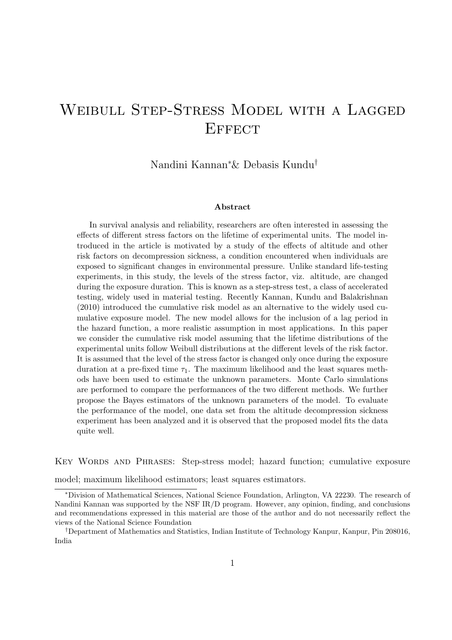# Weibull Step-Stress Model with a Lagged **EFFECT**

Nandini Kannan<sup>∗</sup>& Debasis Kundu†

#### Abstract

In survival analysis and reliability, researchers are often interested in assessing the effects of different stress factors on the lifetime of experimental units. The model introduced in the article is motivated by a study of the effects of altitude and other risk factors on decompression sickness, a condition encountered when individuals are exposed to significant changes in environmental pressure. Unlike standard life-testing experiments, in this study, the levels of the stress factor, viz. altitude, are changed during the exposure duration. This is known as a step-stress test, a class of accelerated testing, widely used in material testing. Recently Kannan, Kundu and Balakrishnan (2010) introduced the cumulative risk model as an alternative to the widely used cumulative exposure model. The new model allows for the inclusion of a lag period in the hazard function, a more realistic assumption in most applications. In this paper we consider the cumulative risk model assuming that the lifetime distributions of the experimental units follow Weibull distributions at the different levels of the risk factor. It is assumed that the level of the stress factor is changed only once during the exposure duration at a pre-fixed time  $\tau_1$ . The maximum likelihood and the least squares methods have been used to estimate the unknown parameters. Monte Carlo simulations are performed to compare the performances of the two different methods. We further propose the Bayes estimators of the unknown parameters of the model. To evaluate the performance of the model, one data set from the altitude decompression sickness experiment has been analyzed and it is observed that the proposed model fits the data quite well.

Key Words and Phrases: Step-stress model; hazard function; cumulative exposure

model; maximum likelihood estimators; least squares estimators.

<sup>∗</sup>Division of Mathematical Sciences, National Science Foundation, Arlington, VA 22230. The research of Nandini Kannan was supported by the NSF IR/D program. However, any opinion, finding, and conclusions and recommendations expressed in this material are those of the author and do not necessarily reflect the views of the National Science Foundation

<sup>†</sup>Department of Mathematics and Statistics, Indian Institute of Technology Kanpur, Kanpur, Pin 208016, India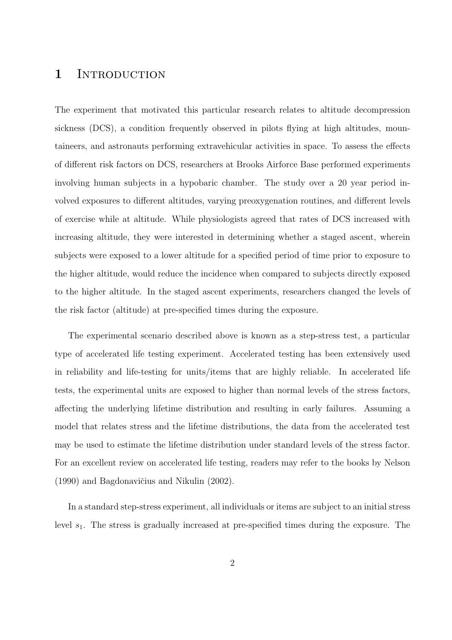### 1 INTRODUCTION

The experiment that motivated this particular research relates to altitude decompression sickness (DCS), a condition frequently observed in pilots flying at high altitudes, mountaineers, and astronauts performing extravehicular activities in space. To assess the effects of different risk factors on DCS, researchers at Brooks Airforce Base performed experiments involving human subjects in a hypobaric chamber. The study over a 20 year period involved exposures to different altitudes, varying preoxygenation routines, and different levels of exercise while at altitude. While physiologists agreed that rates of DCS increased with increasing altitude, they were interested in determining whether a staged ascent, wherein subjects were exposed to a lower altitude for a specified period of time prior to exposure to the higher altitude, would reduce the incidence when compared to subjects directly exposed to the higher altitude. In the staged ascent experiments, researchers changed the levels of the risk factor (altitude) at pre-specified times during the exposure.

The experimental scenario described above is known as a step-stress test, a particular type of accelerated life testing experiment. Accelerated testing has been extensively used in reliability and life-testing for units/items that are highly reliable. In accelerated life tests, the experimental units are exposed to higher than normal levels of the stress factors, affecting the underlying lifetime distribution and resulting in early failures. Assuming a model that relates stress and the lifetime distributions, the data from the accelerated test may be used to estimate the lifetime distribution under standard levels of the stress factor. For an excellent review on accelerated life testing, readers may refer to the books by Nelson  $(1990)$  and Bagdonavičius and Nikulin  $(2002)$ .

In a standard step-stress experiment, all individuals or items are subject to an initial stress level  $s_1$ . The stress is gradually increased at pre-specified times during the exposure. The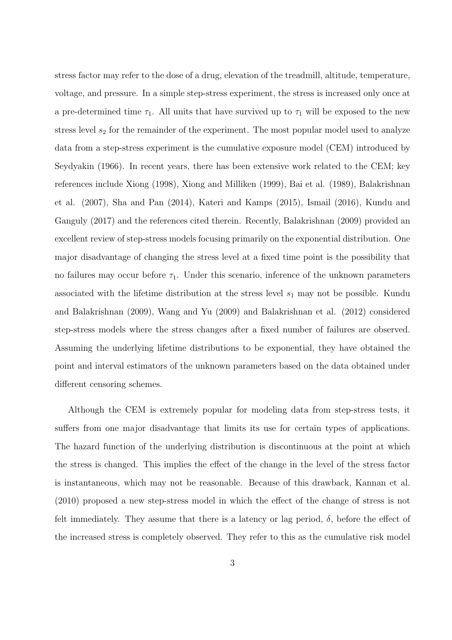stress factor may refer to the dose of a drug, elevation of the treadmill, altitude, temperature, voltage, and pressure. In a simple step-stress experiment, the stress is increased only once at a pre-determined time  $\tau_1$ . All units that have survived up to  $\tau_1$  will be exposed to the new stress level  $s_2$  for the remainder of the experiment. The most popular model used to analyze data from a step-stress experiment is the cumulative exposure model (CEM) introduced by Seydyakin (1966). In recent years, there has been extensive work related to the CEM; key references include Xiong (1998), Xiong and Milliken (1999), Bai et al. (1989), Balakrishnan et al. (2007), Sha and Pan (2014), Kateri and Kamps (2015), Ismail (2016), Kundu and Ganguly (2017) and the references cited therein. Recently, Balakrishnan (2009) provided an excellent review of step-stress models focusing primarily on the exponential distribution. One major disadvantage of changing the stress level at a fixed time point is the possibility that no failures may occur before  $\tau_1$ . Under this scenario, inference of the unknown parameters associated with the lifetime distribution at the stress level  $s_1$  may not be possible. Kundu and Balakrishnan (2009), Wang and Yu (2009) and Balakrishnan et al. (2012) considered step-stress models where the stress changes after a fixed number of failures are observed. Assuming the underlying lifetime distributions to be exponential, they have obtained the point and interval estimators of the unknown parameters based on the data obtained under different censoring schemes.

Although the CEM is extremely popular for modeling data from step-stress tests, it suffers from one major disadvantage that limits its use for certain types of applications. The hazard function of the underlying distribution is discontinuous at the point at which the stress is changed. This implies the effect of the change in the level of the stress factor is instantaneous, which may not be reasonable. Because of this drawback, Kannan et al. (2010) proposed a new step-stress model in which the effect of the change of stress is not felt immediately. They assume that there is a latency or lag period,  $\delta$ , before the effect of the increased stress is completely observed. They refer to this as the cumulative risk model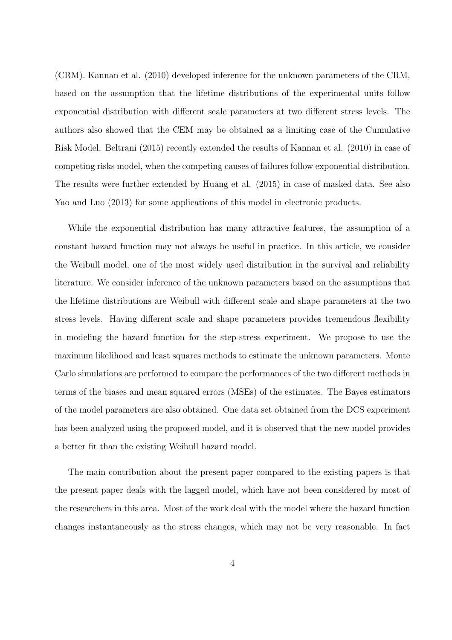(CRM). Kannan et al. (2010) developed inference for the unknown parameters of the CRM, based on the assumption that the lifetime distributions of the experimental units follow exponential distribution with different scale parameters at two different stress levels. The authors also showed that the CEM may be obtained as a limiting case of the Cumulative Risk Model. Beltrani (2015) recently extended the results of Kannan et al. (2010) in case of competing risks model, when the competing causes of failures follow exponential distribution. The results were further extended by Huang et al. (2015) in case of masked data. See also Yao and Luo (2013) for some applications of this model in electronic products.

While the exponential distribution has many attractive features, the assumption of a constant hazard function may not always be useful in practice. In this article, we consider the Weibull model, one of the most widely used distribution in the survival and reliability literature. We consider inference of the unknown parameters based on the assumptions that the lifetime distributions are Weibull with different scale and shape parameters at the two stress levels. Having different scale and shape parameters provides tremendous flexibility in modeling the hazard function for the step-stress experiment. We propose to use the maximum likelihood and least squares methods to estimate the unknown parameters. Monte Carlo simulations are performed to compare the performances of the two different methods in terms of the biases and mean squared errors (MSEs) of the estimates. The Bayes estimators of the model parameters are also obtained. One data set obtained from the DCS experiment has been analyzed using the proposed model, and it is observed that the new model provides a better fit than the existing Weibull hazard model.

The main contribution about the present paper compared to the existing papers is that the present paper deals with the lagged model, which have not been considered by most of the researchers in this area. Most of the work deal with the model where the hazard function changes instantaneously as the stress changes, which may not be very reasonable. In fact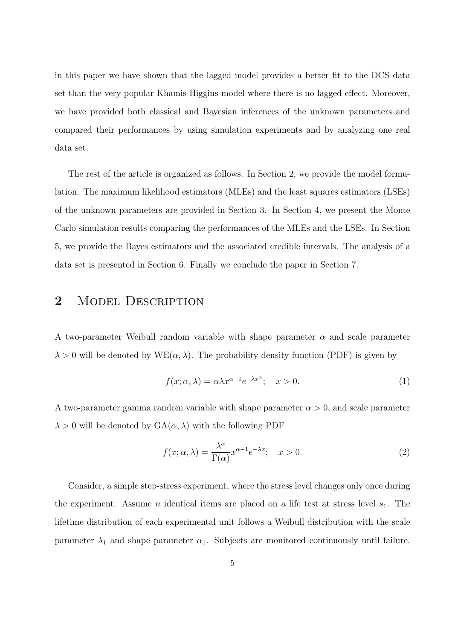in this paper we have shown that the lagged model provides a better fit to the DCS data set than the very popular Khamis-Higgins model where there is no lagged effect. Moreover, we have provided both classical and Bayesian inferences of the unknown parameters and compared their performances by using simulation experiments and by analyzing one real data set.

The rest of the article is organized as follows. In Section 2, we provide the model formulation. The maximum likelihood estimators (MLEs) and the least squares estimators (LSEs) of the unknown parameters are provided in Section 3. In Section 4, we present the Monte Carlo simulation results comparing the performances of the MLEs and the LSEs. In Section 5, we provide the Bayes estimators and the associated credible intervals. The analysis of a data set is presented in Section 6. Finally we conclude the paper in Section 7.

## 2 MODEL DESCRIPTION

A two-parameter Weibull random variable with shape parameter  $\alpha$  and scale parameter  $\lambda > 0$  will be denoted by  $WE(\alpha, \lambda)$ . The probability density function (PDF) is given by

$$
f(x; \alpha, \lambda) = \alpha \lambda x^{\alpha - 1} e^{-\lambda x^{\alpha}}; \quad x > 0.
$$
 (1)

A two-parameter gamma random variable with shape parameter  $\alpha > 0$ , and scale parameter  $\lambda > 0$  will be denoted by  $GA(\alpha, \lambda)$  with the following PDF

$$
f(x; \alpha, \lambda) = \frac{\lambda^{\alpha}}{\Gamma(\alpha)} x^{\alpha - 1} e^{-\lambda x}; \quad x > 0.
$$
 (2)

Consider, a simple step-stress experiment, where the stress level changes only once during the experiment. Assume *n* identical items are placed on a life test at stress level  $s_1$ . The lifetime distribution of each experimental unit follows a Weibull distribution with the scale parameter  $\lambda_1$  and shape parameter  $\alpha_1$ . Subjects are monitored continuously until failure.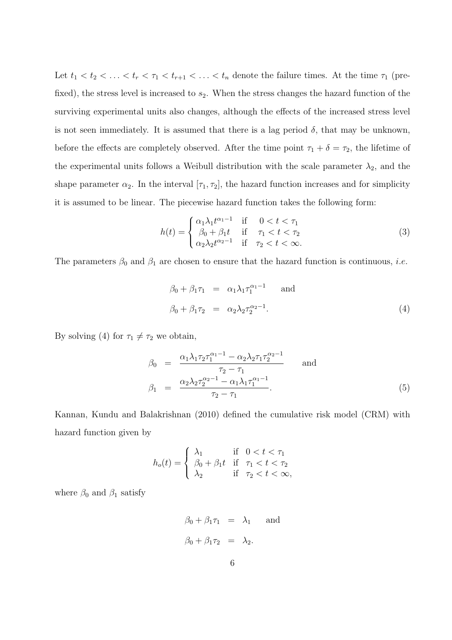Let  $t_1 < t_2 < \ldots < t_r < \tau_1 < t_{r+1} < \ldots < t_n$  denote the failure times. At the time  $\tau_1$  (prefixed), the stress level is increased to  $s_2$ . When the stress changes the hazard function of the surviving experimental units also changes, although the effects of the increased stress level is not seen immediately. It is assumed that there is a lag period  $\delta$ , that may be unknown, before the effects are completely observed. After the time point  $\tau_1 + \delta = \tau_2$ , the lifetime of the experimental units follows a Weibull distribution with the scale parameter  $\lambda_2$ , and the shape parameter  $\alpha_2$ . In the interval  $[\tau_1, \tau_2]$ , the hazard function increases and for simplicity it is assumed to be linear. The piecewise hazard function takes the following form:

$$
h(t) = \begin{cases} \alpha_1 \lambda_1 t^{\alpha_1 - 1} & \text{if } 0 < t < \tau_1 \\ \beta_0 + \beta_1 t & \text{if } \tau_1 < t < \tau_2 \\ \alpha_2 \lambda_2 t^{\alpha_2 - 1} & \text{if } \tau_2 < t < \infty. \end{cases}
$$
 (3)

The parameters  $\beta_0$  and  $\beta_1$  are chosen to ensure that the hazard function is continuous, *i.e.* 

$$
\beta_0 + \beta_1 \tau_1 = \alpha_1 \lambda_1 \tau_1^{\alpha_1 - 1} \quad \text{and}
$$
  

$$
\beta_0 + \beta_1 \tau_2 = \alpha_2 \lambda_2 \tau_2^{\alpha_2 - 1}.
$$
 (4)

By solving (4) for  $\tau_1 \neq \tau_2$  we obtain,

$$
\beta_0 = \frac{\alpha_1 \lambda_1 \tau_2 \tau_1^{\alpha_1 - 1} - \alpha_2 \lambda_2 \tau_1 \tau_2^{\alpha_2 - 1}}{\tau_2 - \tau_1} \quad \text{and} \quad \beta_1 = \frac{\alpha_2 \lambda_2 \tau_2^{\alpha_2 - 1} - \alpha_1 \lambda_1 \tau_1^{\alpha_1 - 1}}{\tau_2 - \tau_1}.
$$
\n(5)

Kannan, Kundu and Balakrishnan (2010) defined the cumulative risk model (CRM) with hazard function given by

$$
h_o(t) = \begin{cases} \lambda_1 & \text{if } 0 < t < \tau_1 \\ \beta_0 + \beta_1 t & \text{if } \tau_1 < t < \tau_2 \\ \lambda_2 & \text{if } \tau_2 < t < \infty, \end{cases}
$$

where  $\beta_0$  and  $\beta_1$  satisfy

$$
\beta_0 + \beta_1 \tau_1 = \lambda_1 \quad \text{and} \quad
$$
  

$$
\beta_0 + \beta_1 \tau_2 = \lambda_2.
$$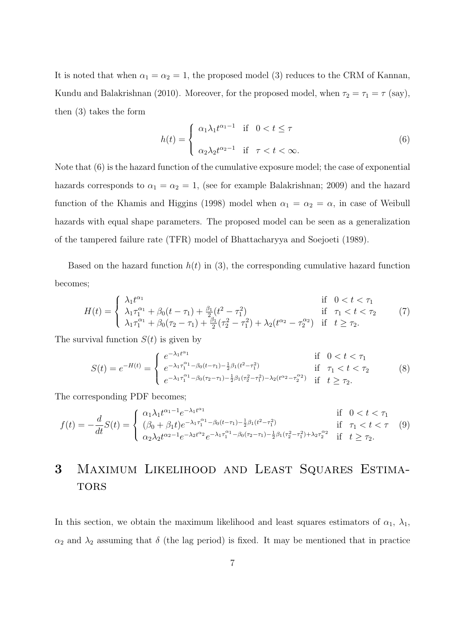It is noted that when  $\alpha_1 = \alpha_2 = 1$ , the proposed model (3) reduces to the CRM of Kannan, Kundu and Balakrishnan (2010). Moreover, for the proposed model, when  $\tau_2 = \tau_1 = \tau$  (say), then (3) takes the form

$$
h(t) = \begin{cases} \alpha_1 \lambda_1 t^{\alpha_1 - 1} & \text{if } 0 < t \le \tau \\ \alpha_2 \lambda_2 t^{\alpha_2 - 1} & \text{if } \tau < t < \infty. \end{cases} \tag{6}
$$

Note that (6) is the hazard function of the cumulative exposure model; the case of exponential hazards corresponds to  $\alpha_1 = \alpha_2 = 1$ , (see for example Balakrishnan; 2009) and the hazard function of the Khamis and Higgins (1998) model when  $\alpha_1 = \alpha_2 = \alpha$ , in case of Weibull hazards with equal shape parameters. The proposed model can be seen as a generalization of the tampered failure rate (TFR) model of Bhattacharyya and Soejoeti (1989).

Based on the hazard function  $h(t)$  in (3), the corresponding cumulative hazard function becomes;

$$
H(t) = \begin{cases} \lambda_1 t^{\alpha_1} & \text{if } 0 < t < \tau_1 \\ \lambda_1 \tau_1^{\alpha_1} + \beta_0 (t - \tau_1) + \frac{\beta_1}{2} (t^2 - \tau_1^2) & \text{if } \tau_1 < t < \tau_2 \\ \lambda_1 \tau_1^{\alpha_1} + \beta_0 (\tau_2 - \tau_1) + \frac{\beta_1}{2} (\tau_2^2 - \tau_1^2) + \lambda_2 (t^{\alpha_2} - \tau_2^{\alpha_2}) & \text{if } t \ge \tau_2. \end{cases} \tag{7}
$$

The survival function  $S(t)$  is given by

$$
S(t) = e^{-H(t)} = \begin{cases} e^{-\lambda_1 t^{\alpha_1}} & \text{if } 0 < t < \tau_1 \\ e^{-\lambda_1 \tau_1^{\alpha_1} - \beta_0 (t - \tau_1) - \frac{1}{2} \beta_1 (t^2 - \tau_1^2)} & \text{if } \tau_1 < t < \tau_2 \\ e^{-\lambda_1 \tau_1^{\alpha_1} - \beta_0 (\tau_2 - \tau_1) - \frac{1}{2} \beta_1 (\tau_2^2 - \tau_1^2) - \lambda_2 (t^{\alpha_2} - \tau_2^{\alpha_2})} & \text{if } t \ge \tau_2. \end{cases} \tag{8}
$$

The corresponding PDF becomes;

$$
f(t) = -\frac{d}{dt}S(t) = \begin{cases} \alpha_1 \lambda_1 t^{\alpha_1 - 1} e^{-\lambda_1 t^{\alpha_1}} & \text{if } 0 < t < \tau_1 \\ (\beta_0 + \beta_1 t) e^{-\lambda_1 \tau_1^{\alpha_1} - \beta_0 (t - \tau_1) - \frac{1}{2} \beta_1 (t^2 - \tau_1^2)} & \text{if } \tau_1 < t < \tau \\ \alpha_2 \lambda_2 t^{\alpha_2 - 1} e^{-\lambda_2 t^{\alpha_2}} e^{-\lambda_1 \tau_1^{\alpha_1} - \beta_0 (\tau_2 - \tau_1) - \frac{1}{2} \beta_1 (\tau_2^2 - \tau_1^2) + \lambda_2 \tau_2^{\alpha_2}} & \text{if } t \ge \tau_2. \end{cases} \tag{9}
$$

## 3 Maximum Likelihood and Least Squares Estima-**TORS**

In this section, we obtain the maximum likelihood and least squares estimators of  $\alpha_1$ ,  $\lambda_1$ ,  $\alpha_2$  and  $\lambda_2$  assuming that  $\delta$  (the lag period) is fixed. It may be mentioned that in practice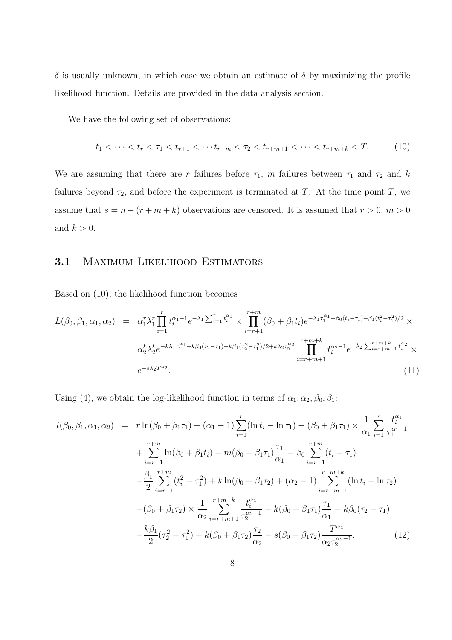$\delta$  is usually unknown, in which case we obtain an estimate of  $\delta$  by maximizing the profile likelihood function. Details are provided in the data analysis section.

We have the following set of observations:

$$
t_1 < \dots < t_r < \tau_1 < t_{r+1} < \dots < t_{r+m} < \tau_2 < t_{r+m+1} < \dots < t_{r+m+k} < T. \tag{10}
$$

We are assuming that there are r failures before  $\tau_1$ , m failures between  $\tau_1$  and  $\tau_2$  and k failures beyond  $\tau_2$ , and before the experiment is terminated at T. At the time point T, we assume that  $s = n - (r + m + k)$  observations are censored. It is assumed that  $r > 0$ ,  $m > 0$ and  $k > 0$ .

### 3.1 MAXIMUM LIKELIHOOD ESTIMATORS

Based on (10), the likelihood function becomes

$$
L(\beta_0, \beta_1, \alpha_1, \alpha_2) = \alpha_1^r \lambda_1^r \prod_{i=1}^r t_i^{\alpha_1 - 1} e^{-\lambda_1 \sum_{i=1}^r t_i^{\alpha_1}} \times \prod_{i=r+1}^{r+m} (\beta_0 + \beta_1 t_i) e^{-\lambda_1 \tau_1^{\alpha_1} - \beta_0 (t_i - \tau_1) - \beta_1 (t_i^2 - \tau_1^2)/2} \times \n\alpha_2^k \lambda_2^k e^{-k\lambda_1 \tau_1^{\alpha_1} - k\beta_0 (\tau_2 - \tau_1) - k\beta_1 (\tau_2^2 - \tau_1^2)/2 + k\lambda_2 \tau_2^{\alpha_2}} \prod_{i=r+m+1}^{r+m+k} t_i^{\alpha_2 - 1} e^{-\lambda_2 \sum_{i=r+m+1}^{r+m+k} t_i^{\alpha_2}} \times \ne^{-s\lambda_2 T^{\alpha_2}}.
$$
\n(11)

Using (4), we obtain the log-likelihood function in terms of  $\alpha_1, \alpha_2, \beta_0, \beta_1$ :

$$
l(\beta_0, \beta_1, \alpha_1, \alpha_2) = r \ln(\beta_0 + \beta_1 \tau_1) + (\alpha_1 - 1) \sum_{i=1}^r (\ln t_i - \ln \tau_1) - (\beta_0 + \beta_1 \tau_1) \times \frac{1}{\alpha_1} \sum_{i=1}^r \frac{t_i^{\alpha_1}}{\tau_1^{\alpha_1 - 1}} + \sum_{i=r+1}^{r+m} \ln(\beta_0 + \beta_1 t_i) - m(\beta_0 + \beta_1 \tau_1) \frac{\tau_1}{\alpha_1} - \beta_0 \sum_{i=r+1}^{r+m} (t_i - \tau_1) - \frac{\beta_1}{2} \sum_{i=r+1}^{r+m} (t_i^2 - \tau_1^2) + k \ln(\beta_0 + \beta_1 \tau_2) + (\alpha_2 - 1) \sum_{i=r+m+1}^{r+m+k} (\ln t_i - \ln \tau_2) - (\beta_0 + \beta_1 \tau_2) \times \frac{1}{\alpha_2} \sum_{i=r+m+1}^{r+m+k} \frac{t_i^{\alpha_2}}{\tau_2^{\alpha_2 - 1}} - k(\beta_0 + \beta_1 \tau_1) \frac{\tau_1}{\alpha_1} - k\beta_0 (\tau_2 - \tau_1) - \frac{k\beta_1}{2} (\tau_2^2 - \tau_1^2) + k(\beta_0 + \beta_1 \tau_2) \frac{\tau_2}{\alpha_2} - s(\beta_0 + \beta_1 \tau_2) \frac{T^{\alpha_2}}{\alpha_2 \tau_2^{\alpha_2 - 1}}.
$$
(12)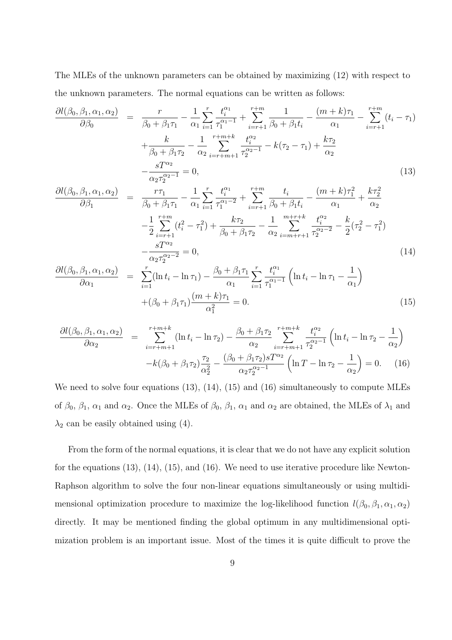The MLEs of the unknown parameters can be obtained by maximizing (12) with respect to the unknown parameters. The normal equations can be written as follows:

$$
\frac{\partial l(\beta_0, \beta_1, \alpha_1, \alpha_2)}{\partial \beta_0} = \frac{r}{\beta_0 + \beta_1 \tau_1} - \frac{1}{\alpha_1} \sum_{i=1}^r \frac{t_i^{\alpha_1}}{\tau_1^{\alpha_1 - 1}} + \sum_{i=r+1}^{r+m} \frac{1}{\beta_0 + \beta_1 t_i} - \frac{(m+k)\tau_1}{\alpha_1} - \sum_{i=r+1}^{r+m} (t_i - \tau_1) + \frac{k}{\beta_0 + \beta_1 \tau_2} - \frac{1}{\alpha_2} \sum_{i=r+m+1}^{r+m+k} \frac{t_i^{\alpha_2}}{\tau_2^{\alpha_2 - 1}} - k(\tau_2 - \tau_1) + \frac{k\tau_2}{\alpha_2} - \frac{sT^{\alpha_2}}{\alpha_2 \tau_2^{\alpha_2 - 1}} = 0,
$$
\n(13)

$$
\frac{\partial l(\beta_0, \beta_1, \alpha_1, \alpha_2)}{\partial \beta_1} = \frac{r\tau_1}{\beta_0 + \beta_1 \tau_1} - \frac{1}{\alpha_1} \sum_{i=1}^r \frac{t_i^{\alpha_1}}{\tau_1^{\alpha_1 - 2}} + \sum_{i=r+1}^{r+m} \frac{t_i}{\beta_0 + \beta_1 t_i} - \frac{(m+k)\tau_1^2}{\alpha_1} + \frac{k\tau_2^2}{\alpha_2} \n- \frac{1}{2} \sum_{i=r+1}^{r+m} (t_i^2 - \tau_1^2) + \frac{k\tau_2}{\beta_0 + \beta_1 \tau_2} - \frac{1}{\alpha_2} \sum_{i=m+r+1}^{m+r+k} \frac{t_i^{\alpha_2}}{\tau_2^{\alpha_2 - 2}} - \frac{k}{2} (\tau_2^2 - \tau_1^2) \n- \frac{sT^{\alpha_2}}{\alpha_2 \tau_2^{\alpha_2 - 2}} = 0,
$$
\n(14)

$$
\frac{\partial l(\beta_0, \beta_1, \alpha_1, \alpha_2)}{\partial \alpha_1} = \sum_{i=1}^r (\ln t_i - \ln \tau_1) - \frac{\beta_0 + \beta_1 \tau_1}{\alpha_1} \sum_{i=1}^r \frac{t_i^{\alpha_1}}{\tau_1^{\alpha_1 - 1}} \left( \ln t_i - \ln \tau_1 - \frac{1}{\alpha_1} \right) + (\beta_0 + \beta_1 \tau_1) \frac{(m+k)\tau_1}{\alpha_1^2} = 0.
$$
\n(15)

$$
\frac{\partial l(\beta_0, \beta_1, \alpha_1, \alpha_2)}{\partial \alpha_2} = \sum_{i=r+m+1}^{r+m+k} (\ln t_i - \ln \tau_2) - \frac{\beta_0 + \beta_1 \tau_2}{\alpha_2} \sum_{i=r+m+1}^{r+m+k} \frac{t_i^{\alpha_2}}{\tau_2^{\alpha_2-1}} \left( \ln t_i - \ln \tau_2 - \frac{1}{\alpha_2} \right)
$$

$$
-k(\beta_0 + \beta_1 \tau_2) \frac{\tau_2}{\alpha_2^2} - \frac{(\beta_0 + \beta_1 \tau_2) s T^{\alpha_2}}{\alpha_2 \tau_2^{\alpha_2-1}} \left( \ln T - \ln \tau_2 - \frac{1}{\alpha_2} \right) = 0. \quad (16)
$$

We need to solve four equations (13), (14), (15) and (16) simultaneously to compute MLEs of  $\beta_0$ ,  $\beta_1$ ,  $\alpha_1$  and  $\alpha_2$ . Once the MLEs of  $\beta_0$ ,  $\beta_1$ ,  $\alpha_1$  and  $\alpha_2$  are obtained, the MLEs of  $\lambda_1$  and  $\lambda_2$  can be easily obtained using (4).

From the form of the normal equations, it is clear that we do not have any explicit solution for the equations (13), (14), (15), and (16). We need to use iterative procedure like Newton-Raphson algorithm to solve the four non-linear equations simultaneously or using multidimensional optimization procedure to maximize the log-likelihood function  $l(\beta_0, \beta_1, \alpha_1, \alpha_2)$ directly. It may be mentioned finding the global optimum in any multidimensional optimization problem is an important issue. Most of the times it is quite difficult to prove the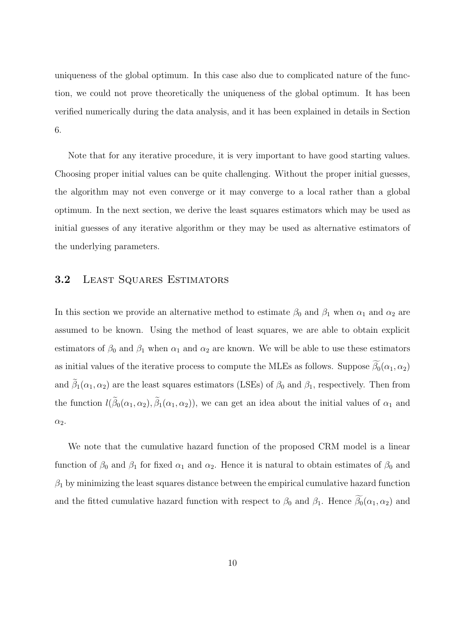uniqueness of the global optimum. In this case also due to complicated nature of the function, we could not prove theoretically the uniqueness of the global optimum. It has been verified numerically during the data analysis, and it has been explained in details in Section 6.

Note that for any iterative procedure, it is very important to have good starting values. Choosing proper initial values can be quite challenging. Without the proper initial guesses, the algorithm may not even converge or it may converge to a local rather than a global optimum. In the next section, we derive the least squares estimators which may be used as initial guesses of any iterative algorithm or they may be used as alternative estimators of the underlying parameters.

### 3.2 LEAST SQUARES ESTIMATORS

In this section we provide an alternative method to estimate  $\beta_0$  and  $\beta_1$  when  $\alpha_1$  and  $\alpha_2$  are assumed to be known. Using the method of least squares, we are able to obtain explicit estimators of  $\beta_0$  and  $\beta_1$  when  $\alpha_1$  and  $\alpha_2$  are known. We will be able to use these estimators as initial values of the iterative process to compute the MLEs as follows. Suppose  $\widetilde{\beta_0}(\alpha_1, \alpha_2)$ and  $\tilde{\beta}_1(\alpha_1,\alpha_2)$  are the least squares estimators (LSEs) of  $\beta_0$  and  $\beta_1$ , respectively. Then from the function  $l(\beta_0(\alpha_1,\alpha_2), \beta_1(\alpha_1,\alpha_2))$ , we can get an idea about the initial values of  $\alpha_1$  and  $\alpha_2$ .

We note that the cumulative hazard function of the proposed CRM model is a linear function of  $\beta_0$  and  $\beta_1$  for fixed  $\alpha_1$  and  $\alpha_2$ . Hence it is natural to obtain estimates of  $\beta_0$  and  $\beta_1$  by minimizing the least squares distance between the empirical cumulative hazard function and the fitted cumulative hazard function with respect to  $\beta_0$  and  $\beta_1$ . Hence  $\widetilde{\beta_0}(\alpha_1, \alpha_2)$  and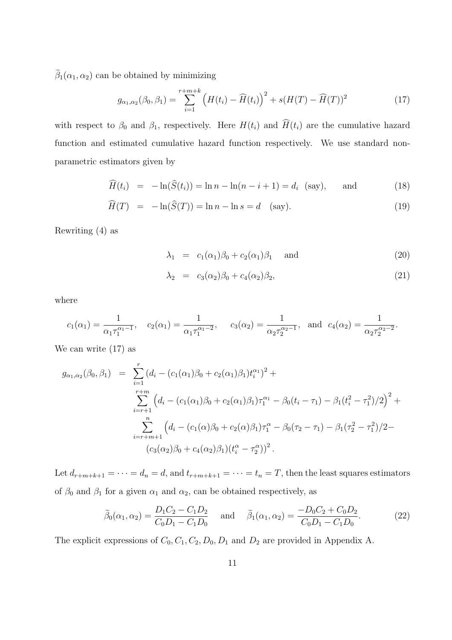$\tilde{\beta}_1(\alpha_1, \alpha_2)$  can be obtained by minimizing

$$
g_{\alpha_1,\alpha_2}(\beta_0,\beta_1) = \sum_{i=1}^{r+m+k} \left( H(t_i) - \widehat{H}(t_i) \right)^2 + s(H(T) - \widehat{H}(T))^2 \tag{17}
$$

with respect to  $\beta_0$  and  $\beta_1$ , respectively. Here  $H(t_i)$  and  $\widehat{H}(t_i)$  are the cumulative hazard function and estimated cumulative hazard function respectively. We use standard nonparametric estimators given by

$$
\widehat{H}(t_i) = -\ln(\widehat{S}(t_i)) = \ln n - \ln(n - i + 1) = d_i \quad \text{(say)}, \quad \text{and} \tag{18}
$$

$$
\widehat{H}(T) = -\ln(\widehat{S}(T)) = \ln n - \ln s = d \quad \text{(say)}.
$$
\n(19)

Rewriting (4) as

$$
\lambda_1 = c_1(\alpha_1)\beta_0 + c_2(\alpha_1)\beta_1 \quad \text{and} \tag{20}
$$

$$
\lambda_2 = c_3(\alpha_2)\beta_0 + c_4(\alpha_2)\beta_2, \tag{21}
$$

where

$$
c_1(\alpha_1) = \frac{1}{\alpha_1 \tau_1^{\alpha_1 - 1}}, \quad c_2(\alpha_1) = \frac{1}{\alpha_1 \tau_1^{\alpha_1 - 2}}, \quad c_3(\alpha_2) = \frac{1}{\alpha_2 \tau_2^{\alpha_2 - 1}}, \text{ and } c_4(\alpha_2) = \frac{1}{\alpha_2 \tau_2^{\alpha_2 - 2}}.
$$

We can write (17) as

$$
g_{\alpha_1,\alpha_2}(\beta_0,\beta_1) = \sum_{i=1}^r (d_i - (c_1(\alpha_1)\beta_0 + c_2(\alpha_1)\beta_1)t_i^{\alpha_1})^2 +
$$
  

$$
\sum_{i=r+1}^{r+m} (d_i - (c_1(\alpha_1)\beta_0 + c_2(\alpha_1)\beta_1)\tau_1^{\alpha_1} - \beta_0(t_i - \tau_1) - \beta_1(t_i^2 - \tau_1^2)/2)^2 +
$$
  

$$
\sum_{i=r+m+1}^n (d_i - (c_1(\alpha)\beta_0 + c_2(\alpha)\beta_1)\tau_1^{\alpha} - \beta_0(\tau_2 - \tau_1) - \beta_1(\tau_2^2 - \tau_1^2)/2 -
$$
  

$$
(c_3(\alpha_2)\beta_0 + c_4(\alpha_2)\beta_1)(t_i^{\alpha} - \tau_2^{\alpha}))^2.
$$

Let  $d_{r+m+k+1} = \cdots = d_n = d$ , and  $t_{r+m+k+1} = \cdots = t_n = T$ , then the least squares estimators of  $\beta_0$  and  $\beta_1$  for a given  $\alpha_1$  and  $\alpha_2,$  can be obtained respectively, as

$$
\tilde{\beta}_0(\alpha_1, \alpha_2) = \frac{D_1 C_2 - C_1 D_2}{C_0 D_1 - C_1 D_0} \quad \text{and} \quad \tilde{\beta}_1(\alpha_1, \alpha_2) = \frac{-D_0 C_2 + C_0 D_2}{C_0 D_1 - C_1 D_0}.
$$
\n(22)

The explicit expressions of  $C_0$ ,  $C_1$ ,  $C_2$ ,  $D_0$ ,  $D_1$  and  $D_2$  are provided in Appendix A.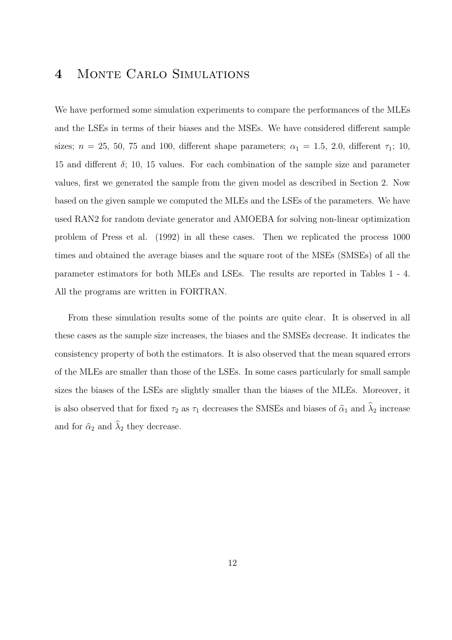## 4 Monte Carlo Simulations

We have performed some simulation experiments to compare the performances of the MLEs and the LSEs in terms of their biases and the MSEs. We have considered different sample sizes;  $n = 25, 50, 75$  and 100, different shape parameters;  $\alpha_1 = 1.5, 2.0$ , different  $\tau_1$ ; 10, 15 and different  $\delta$ ; 10, 15 values. For each combination of the sample size and parameter values, first we generated the sample from the given model as described in Section 2. Now based on the given sample we computed the MLEs and the LSEs of the parameters. We have used RAN2 for random deviate generator and AMOEBA for solving non-linear optimization problem of Press et al. (1992) in all these cases. Then we replicated the process 1000 times and obtained the average biases and the square root of the MSEs (SMSEs) of all the parameter estimators for both MLEs and LSEs. The results are reported in Tables 1 - 4. All the programs are written in FORTRAN.

From these simulation results some of the points are quite clear. It is observed in all these cases as the sample size increases, the biases and the SMSEs decrease. It indicates the consistency property of both the estimators. It is also observed that the mean squared errors of the MLEs are smaller than those of the LSEs. In some cases particularly for small sample sizes the biases of the LSEs are slightly smaller than the biases of the MLEs. Moreover, it is also observed that for fixed  $\tau_2$  as  $\tau_1$  decreases the SMSEs and biases of  $\hat{\alpha}_1$  and  $\hat{\lambda}_2$  increase and for  $\hat{\alpha}_2$  and  $\hat{\lambda}_2$  they decrease.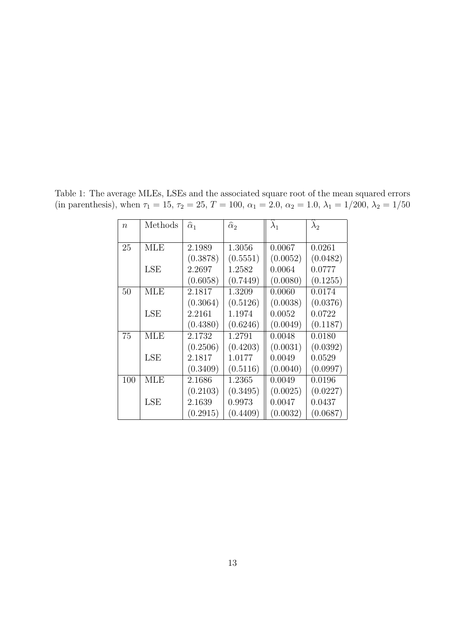| $\overline{n}$ | Methods    | $\widehat{\alpha}_1$ | $\widehat{\alpha}_2$ | $\lambda_1$ | $\lambda_2$ |
|----------------|------------|----------------------|----------------------|-------------|-------------|
|                |            |                      |                      |             |             |
| 25             | <b>MLE</b> | 2.1989               | 1.3056               | 0.0067      | 0.0261      |
|                |            | (0.3878)             | (0.5551)             | (0.0052)    | (0.0482)    |
|                | LSE        | 2.2697               | 1.2582               | 0.0064      | 0.0777      |
|                |            | (0.6058)             | (0.7449)             | (0.0080)    | (0.1255)    |
| 50             | <b>MLE</b> | 2.1817               | 1.3209               | 0.0060      | 0.0174      |
|                |            | (0.3064)             | (0.5126)             | (0.0038)    | (0.0376)    |
|                | LSE        | 2.2161               | 1.1974               | 0.0052      | 0.0722      |
|                |            | (0.4380)             | (0.6246)             | (0.0049)    | (0.1187)    |
| 75             | <b>MLE</b> | 2.1732               | 1.2791               | 0.0048      | 0.0180      |
|                |            | (0.2506)             | (0.4203)             | (0.0031)    | (0.0392)    |
|                | <b>LSE</b> | 2.1817               | 1.0177               | 0.0049      | 0.0529      |
|                |            | (0.3409)             | (0.5116)             | (0.0040)    | (0.0997)    |
| 100            | <b>MLE</b> | 2.1686               | 1.2365               | 0.0049      | 0.0196      |
|                |            | (0.2103)             | (0.3495)             | (0.0025)    | (0.0227)    |
|                | LSE        | 2.1639               | 0.9973               | 0.0047      | 0.0437      |
|                |            | (0.2915)             | (0.4409)             | (0.0032)    | (0.0687)    |

Table 1: The average MLEs, LSEs and the associated square root of the mean squared errors (in parenthesis), when  $\tau_1 = 15$ ,  $\tau_2 = 25$ ,  $T = 100$ ,  $\alpha_1 = 2.0$ ,  $\alpha_2 = 1.0$ ,  $\lambda_1 = 1/200$ ,  $\lambda_2 = 1/50$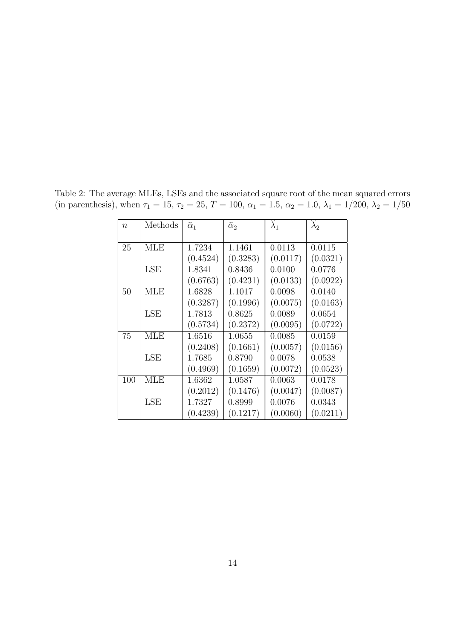| $\eta$ | Methods    | $\widehat{\alpha}_1$ | $\widehat{\alpha}_2$ | $\lambda_1$ | $\lambda_2$ |
|--------|------------|----------------------|----------------------|-------------|-------------|
|        |            |                      |                      |             |             |
| 25     | <b>MLE</b> | 1.7234               | 1.1461               | 0.0113      | 0.0115      |
|        |            | (0.4524)             | (0.3283)             | (0.0117)    | (0.0321)    |
|        | LSE        | 1.8341               | 0.8436               | 0.0100      | 0.0776      |
|        |            | (0.6763)             | (0.4231)             | (0.0133)    | (0.0922)    |
| 50     | <b>MLE</b> | 1.6828               | 1.1017               | 0.0098      | 0.0140      |
|        |            | (0.3287)             | (0.1996)             | (0.0075)    | (0.0163)    |
|        | LSE        | 1.7813               | 0.8625               | 0.0089      | 0.0654      |
|        |            | (0.5734)             | (0.2372)             | (0.0095)    | (0.0722)    |
| 75     | MLE        | 1.6516               | 1.0655               | 0.0085      | 0.0159      |
|        |            | (0.2408)             | (0.1661)             | (0.0057)    | (0.0156)    |
|        | LSE        | 1.7685               | 0.8790               | 0.0078      | 0.0538      |
|        |            | (0.4969)             | (0.1659)             | (0.0072)    | (0.0523)    |
| 100    | MLE        | 1.6362               | 1.0587               | 0.0063      | 0.0178      |
|        |            | (0.2012)             | (0.1476)             | (0.0047)    | (0.0087)    |
|        | LSE        | 1.7327               | 0.8999               | 0.0076      | 0.0343      |
|        |            | (0.4239)             | (0.1217)             | (0.0060)    | (0.0211)    |

Table 2: The average MLEs, LSEs and the associated square root of the mean squared errors (in parenthesis), when  $\tau_1 = 15$ ,  $\tau_2 = 25$ ,  $T = 100$ ,  $\alpha_1 = 1.5$ ,  $\alpha_2 = 1.0$ ,  $\lambda_1 = 1/200$ ,  $\lambda_2 = 1/50$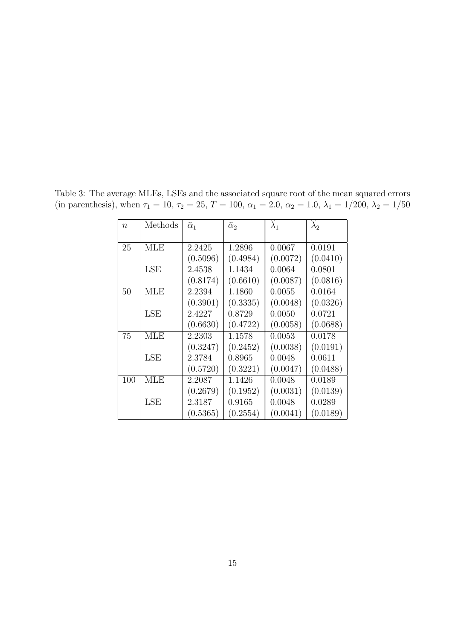| $\overline{n}$ | Methods    | $\widehat{\alpha}_1$ | $\widehat{\alpha}_2$ | $\lambda_1$ | $\lambda_2$ |
|----------------|------------|----------------------|----------------------|-------------|-------------|
|                |            |                      |                      |             |             |
| 25             | MLE        | 2.2425               | 1.2896               | 0.0067      | 0.0191      |
|                |            | (0.5096)             | (0.4984)             | (0.0072)    | (0.0410)    |
|                | LSE        | 2.4538               | 1.1434               | 0.0064      | 0.0801      |
|                |            | (0.8174)             | (0.6610)             | (0.0087)    | (0.0816)    |
| 50             | MLE        | 2.2394               | 1.1860               | 0.0055      | 0.0164      |
|                |            | (0.3901)             | (0.3335)             | (0.0048)    | (0.0326)    |
|                | LSE        | 2.4227               | 0.8729               | 0.0050      | 0.0721      |
|                |            | (0.6630)             | (0.4722)             | (0.0058)    | (0.0688)    |
| 75             | MLE        | 2.2303               | 1.1578               | 0.0053      | 0.0178      |
|                |            | (0.3247)             | (0.2452)             | (0.0038)    | (0.0191)    |
|                | <b>LSE</b> | 2.3784               | 0.8965               | 0.0048      | 0.0611      |
|                |            | (0.5720)             | (0.3221)             | (0.0047)    | (0.0488)    |
| 100            | MLE        | 2.2087               | 1.1426               | 0.0048      | 0.0189      |
|                |            | (0.2679)             | (0.1952)             | (0.0031)    | (0.0139)    |
|                | LSE        | 2.3187               | 0.9165               | 0.0048      | 0.0289      |
|                |            | (0.5365)             | (0.2554)             | (0.0041)    | (0.0189)    |

Table 3: The average MLEs, LSEs and the associated square root of the mean squared errors (in parenthesis), when  $\tau_1 = 10$ ,  $\tau_2 = 25$ ,  $T = 100$ ,  $\alpha_1 = 2.0$ ,  $\alpha_2 = 1.0$ ,  $\lambda_1 = 1/200$ ,  $\lambda_2 = 1/50$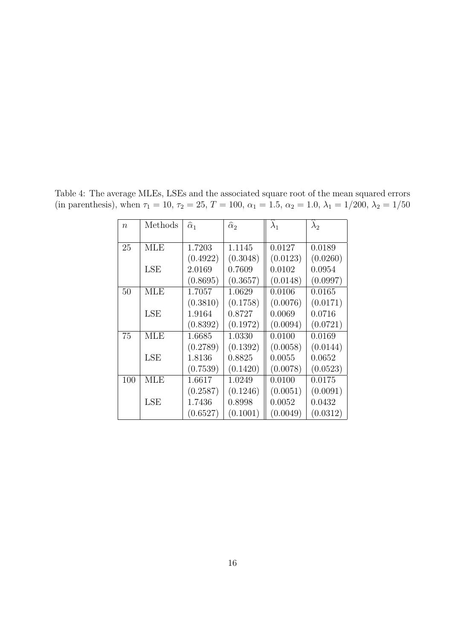| $\overline{n}$ | Methods | $\widehat{\alpha}_1$ | $\widehat{\alpha}_2$ | $\lambda_1$ | $\lambda_2$ |
|----------------|---------|----------------------|----------------------|-------------|-------------|
|                |         |                      |                      |             |             |
| 25             | MLE     | 1.7203               | 1.1145               | 0.0127      | 0.0189      |
|                |         | (0.4922)             | (0.3048)             | (0.0123)    | (0.0260)    |
|                | LSE     | 2.0169               | 0.7609               | 0.0102      | 0.0954      |
|                |         | (0.8695)             | (0.3657)             | (0.0148)    | (0.0997)    |
| 50             | MLE     | 1.7057               | 1.0629               | 0.0106      | 0.0165      |
|                |         | (0.3810)             | (0.1758)             | (0.0076)    | (0.0171)    |
|                | LSE     | 1.9164               | 0.8727               | 0.0069      | 0.0716      |
|                |         | (0.8392)             | (0.1972)             | (0.0094)    | (0.0721)    |
| 75             | MLE     | 1.6685               | 1.0330               | 0.0100      | 0.0169      |
|                |         | (0.2789)             | (0.1392)             | (0.0058)    | (0.0144)    |
|                | LSE     | 1.8136               | 0.8825               | 0.0055      | 0.0652      |
|                |         | (0.7539)             | (0.1420)             | (0.0078)    | (0.0523)    |
| 100            | MLE     | 1.6617               | 1.0249               | 0.0100      | 0.0175      |
|                |         | (0.2587)             | (0.1246)             | (0.0051)    | (0.0091)    |
|                | LSE     | 1.7436               | 0.8998               | 0.0052      | 0.0432      |
|                |         | (0.6527)             | (0.1001)             | (0.0049)    | (0.0312)    |

Table 4: The average MLEs, LSEs and the associated square root of the mean squared errors (in parenthesis), when  $\tau_1 = 10$ ,  $\tau_2 = 25$ ,  $T = 100$ ,  $\alpha_1 = 1.5$ ,  $\alpha_2 = 1.0$ ,  $\lambda_1 = 1/200$ ,  $\lambda_2 = 1/50$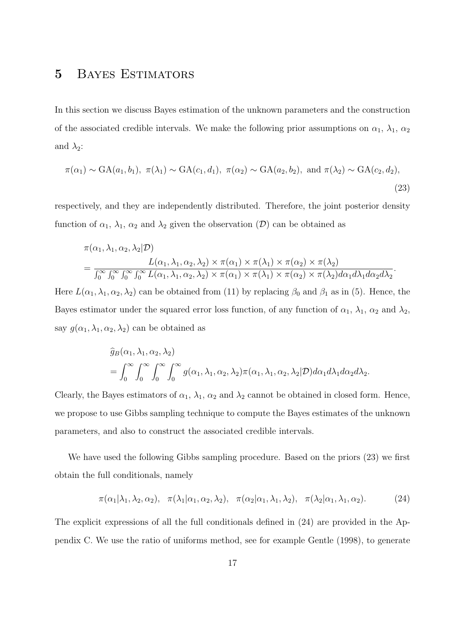## 5 Bayes Estimators

In this section we discuss Bayes estimation of the unknown parameters and the construction of the associated credible intervals. We make the following prior assumptions on  $\alpha_1$ ,  $\lambda_1$ ,  $\alpha_2$ and  $\lambda_2$ :

$$
\pi(\alpha_1) \sim GA(a_1, b_1), \ \pi(\lambda_1) \sim GA(c_1, d_1), \ \pi(\alpha_2) \sim GA(a_2, b_2), \text{ and } \pi(\lambda_2) \sim GA(c_2, d_2),
$$
\n(23)

respectively, and they are independently distributed. Therefore, the joint posterior density function of  $\alpha_1$ ,  $\lambda_1$ ,  $\alpha_2$  and  $\lambda_2$  given the observation  $(\mathcal{D})$  can be obtained as

$$
\pi(\alpha_1, \lambda_1, \alpha_2, \lambda_2 | \mathcal{D})
$$
\n
$$
= \frac{L(\alpha_1, \lambda_1, \alpha_2, \lambda_2) \times \pi(\alpha_1) \times \pi(\lambda_1) \times \pi(\alpha_2) \times \pi(\lambda_2)}{\int_0^\infty \int_0^\infty \int_0^\infty \int_0^\infty L(\alpha_1, \lambda_1, \alpha_2, \lambda_2) \times \pi(\alpha_1) \times \pi(\lambda_1) \times \pi(\alpha_2) \times \pi(\lambda_2) d\alpha_1 d\lambda_1 d\alpha_2 d\lambda_2}.
$$

Here  $L(\alpha_1, \lambda_1, \alpha_2, \lambda_2)$  can be obtained from (11) by replacing  $\beta_0$  and  $\beta_1$  as in (5). Hence, the Bayes estimator under the squared error loss function, of any function of  $\alpha_1$ ,  $\lambda_1$ ,  $\alpha_2$  and  $\lambda_2$ , say  $g(\alpha_1, \lambda_1, \alpha_2, \lambda_2)$  can be obtained as

$$
\widehat{g}_B(\alpha_1, \lambda_1, \alpha_2, \lambda_2)
$$
  
=  $\int_0^\infty \int_0^\infty \int_0^\infty \int_0^\infty g(\alpha_1, \lambda_1, \alpha_2, \lambda_2) \pi(\alpha_1, \lambda_1, \alpha_2, \lambda_2 | \mathcal{D}) d\alpha_1 d\lambda_1 d\alpha_2 d\lambda_2.$ 

Clearly, the Bayes estimators of  $\alpha_1$ ,  $\lambda_1$ ,  $\alpha_2$  and  $\lambda_2$  cannot be obtained in closed form. Hence, we propose to use Gibbs sampling technique to compute the Bayes estimates of the unknown parameters, and also to construct the associated credible intervals.

We have used the following Gibbs sampling procedure. Based on the priors (23) we first obtain the full conditionals, namely

$$
\pi(\alpha_1|\lambda_1,\lambda_2,\alpha_2), \quad \pi(\lambda_1|\alpha_1,\alpha_2,\lambda_2), \quad \pi(\alpha_2|\alpha_1,\lambda_1,\lambda_2), \quad \pi(\lambda_2|\alpha_1,\lambda_1,\alpha_2). \tag{24}
$$

The explicit expressions of all the full conditionals defined in (24) are provided in the Appendix C. We use the ratio of uniforms method, see for example Gentle (1998), to generate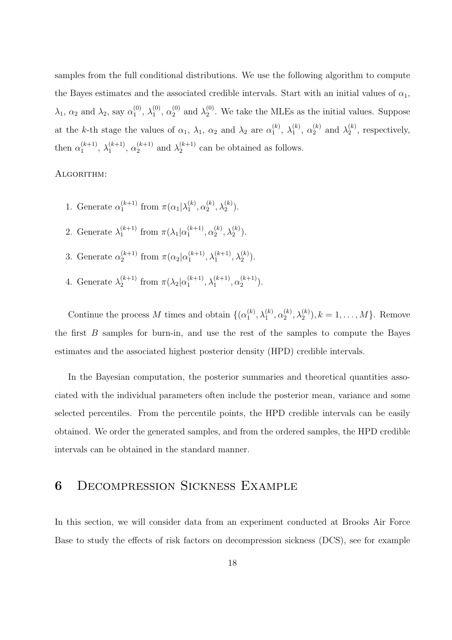samples from the full conditional distributions. We use the following algorithm to compute the Bayes estimates and the associated credible intervals. Start with an initial values of  $\alpha_1$ ,  $\lambda_1$ ,  $\alpha_2$  and  $\lambda_2$ , say  $\alpha_1^{(0)}$  $\lambda_1^{(0)}, \lambda_1^{(0)}$  $_1^{(0)}$ ,  $\alpha_2^{(0)}$  and  $\lambda_2^{(0)}$  $2<sup>(0)</sup>$ . We take the MLEs as the initial values. Suppose at the k-th stage the values of  $\alpha_1$ ,  $\lambda_1$ ,  $\alpha_2$  and  $\lambda_2$  are  $\alpha_1^{(k)}$  $\mathcal{h}^{(k)}_{1}, \ \lambda^{(k)}_{1}$  $\mathfrak{a}_1^{(k)}$ ,  $\alpha_2^{(k)}$  and  $\lambda_2^{(k)}$  $2^{(\kappa)}$ , respectively, then  $\alpha_1^{(k+1)}$  $\lambda_1^{(k+1)}, \lambda_1^{(k+1)}$  $\alpha_1^{(k+1)}$ ,  $\alpha_2^{(k+1)}$  and  $\lambda_2^{(k+1)}$  $2^{k+1}$  can be obtained as follows.

#### ALGORITHM:

- 1. Generate  $\alpha_1^{(k+1)}$  $\binom{k+1}{1}$  from  $\pi(\alpha_1|\lambda_1^{(k)})$  $\mathbf{a}_1^{(k)},\mathbf{\alpha}_2^{(k)}$  $_{2}^{(k)},\lambda_{2}^{(k)}).$
- 2. Generate  $\lambda_1^{(k+1)}$  $_{1}^{(k+1)}$  from  $\pi(\lambda_1|\alpha_1^{(k+1)})$  $\binom{k+1}{1}, \alpha_2^{(k)}$  $\lambda_2^{(k)},\lambda_2^{(k)}).$
- 3. Generate  $\alpha_2^{(k+1)}$  $\binom{k+1}{2}$  from  $\pi(\alpha_2|\alpha_1^{(k+1)})$  $\lambda_1^{(k+1)}, \lambda_1^{(k+1)}, \lambda_2^{(k)}$ ).
- 4. Generate  $\lambda_2^{(k+1)}$  $_{2}^{(k+1)}$  from  $\pi(\lambda_2|\alpha_1^{(k+1)})$  $\lambda_1^{(k+1)}, \lambda_1^{(k+1)}, \alpha_2^{(k+1)}$  $\binom{k+1}{2}$ .

Continue the process M times and obtain  $\{(\alpha_1^{(k)})\}$  $\overset{(k)}{1}, \lambda_1^{(k)}, \alpha_2^{(k)}$  $\lambda_2^{(k)}, \lambda_2^{(k)}), k = 1, \ldots, M\}.$  Remove the first  $B$  samples for burn-in, and use the rest of the samples to compute the Bayes estimates and the associated highest posterior density (HPD) credible intervals.

In the Bayesian computation, the posterior summaries and theoretical quantities associated with the individual parameters often include the posterior mean, variance and some selected percentiles. From the percentile points, the HPD credible intervals can be easily obtained. We order the generated samples, and from the ordered samples, the HPD credible intervals can be obtained in the standard manner.

### 6 Decompression Sickness Example

In this section, we will consider data from an experiment conducted at Brooks Air Force Base to study the effects of risk factors on decompression sickness (DCS), see for example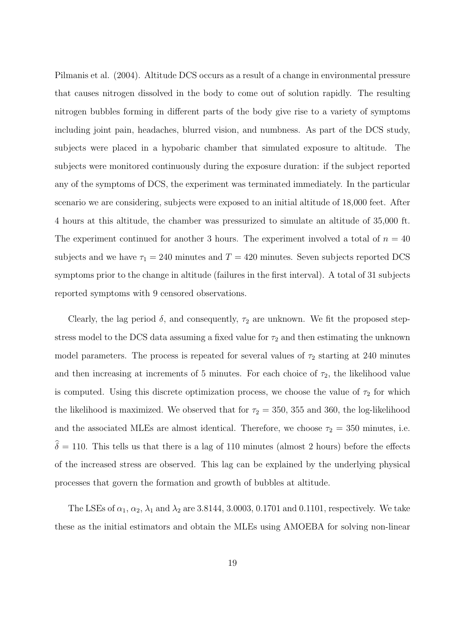Pilmanis et al. (2004). Altitude DCS occurs as a result of a change in environmental pressure that causes nitrogen dissolved in the body to come out of solution rapidly. The resulting nitrogen bubbles forming in different parts of the body give rise to a variety of symptoms including joint pain, headaches, blurred vision, and numbness. As part of the DCS study, subjects were placed in a hypobaric chamber that simulated exposure to altitude. The subjects were monitored continuously during the exposure duration: if the subject reported any of the symptoms of DCS, the experiment was terminated immediately. In the particular scenario we are considering, subjects were exposed to an initial altitude of 18,000 feet. After 4 hours at this altitude, the chamber was pressurized to simulate an altitude of 35,000 ft. The experiment continued for another 3 hours. The experiment involved a total of  $n = 40$ subjects and we have  $\tau_1 = 240$  minutes and  $T = 420$  minutes. Seven subjects reported DCS symptoms prior to the change in altitude (failures in the first interval). A total of 31 subjects reported symptoms with 9 censored observations.

Clearly, the lag period  $\delta$ , and consequently,  $\tau_2$  are unknown. We fit the proposed stepstress model to the DCS data assuming a fixed value for  $\tau_2$  and then estimating the unknown model parameters. The process is repeated for several values of  $\tau_2$  starting at 240 minutes and then increasing at increments of 5 minutes. For each choice of  $\tau_2$ , the likelihood value is computed. Using this discrete optimization process, we choose the value of  $\tau_2$  for which the likelihood is maximized. We observed that for  $\tau_2 = 350$ , 355 and 360, the log-likelihood and the associated MLEs are almost identical. Therefore, we choose  $\tau_2 = 350$  minutes, i.e.  $\hat{\delta} = 110$ . This tells us that there is a lag of 110 minutes (almost 2 hours) before the effects of the increased stress are observed. This lag can be explained by the underlying physical processes that govern the formation and growth of bubbles at altitude.

The LSEs of  $\alpha_1$ ,  $\alpha_2$ ,  $\lambda_1$  and  $\lambda_2$  are 3.8144, 3.0003, 0.1701 and 0.1101, respectively. We take these as the initial estimators and obtain the MLEs using AMOEBA for solving non-linear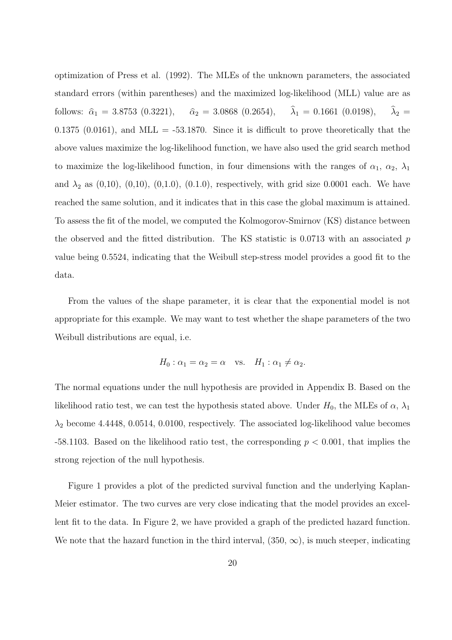optimization of Press et al. (1992). The MLEs of the unknown parameters, the associated standard errors (within parentheses) and the maximized log-likelihood (MLL) value are as follows:  $\hat{\alpha}_1 = 3.8753$  (0.3221),  $\hat{\alpha}_2 = 3.0868$  (0.2654),  $\hat{\lambda}_1 = 0.1661$  (0.0198),  $\hat{\lambda}_2 =$ 0.1375 (0.0161), and MLL =  $-53.1870$ . Since it is difficult to prove theoretically that the above values maximize the log-likelihood function, we have also used the grid search method to maximize the log-likelihood function, in four dimensions with the ranges of  $\alpha_1$ ,  $\alpha_2$ ,  $\lambda_1$ and  $\lambda_2$  as (0,10), (0,10), (0,1.0), (0.1.0), respectively, with grid size 0.0001 each. We have reached the same solution, and it indicates that in this case the global maximum is attained. To assess the fit of the model, we computed the Kolmogorov-Smirnov (KS) distance between the observed and the fitted distribution. The KS statistic is  $0.0713$  with an associated p value being 0.5524, indicating that the Weibull step-stress model provides a good fit to the data.

From the values of the shape parameter, it is clear that the exponential model is not appropriate for this example. We may want to test whether the shape parameters of the two Weibull distributions are equal, i.e.

$$
H_0: \alpha_1 = \alpha_2 = \alpha \quad \text{vs.} \quad H_1: \alpha_1 \neq \alpha_2.
$$

The normal equations under the null hypothesis are provided in Appendix B. Based on the likelihood ratio test, we can test the hypothesis stated above. Under  $H_0$ , the MLEs of  $\alpha$ ,  $\lambda_1$  $\lambda_2$  become 4.4448, 0.0514, 0.0100, respectively. The associated log-likelihood value becomes -58.1103. Based on the likelihood ratio test, the corresponding  $p < 0.001$ , that implies the strong rejection of the null hypothesis.

Figure 1 provides a plot of the predicted survival function and the underlying Kaplan-Meier estimator. The two curves are very close indicating that the model provides an excellent fit to the data. In Figure 2, we have provided a graph of the predicted hazard function. We note that the hazard function in the third interval,  $(350, \infty)$ , is much steeper, indicating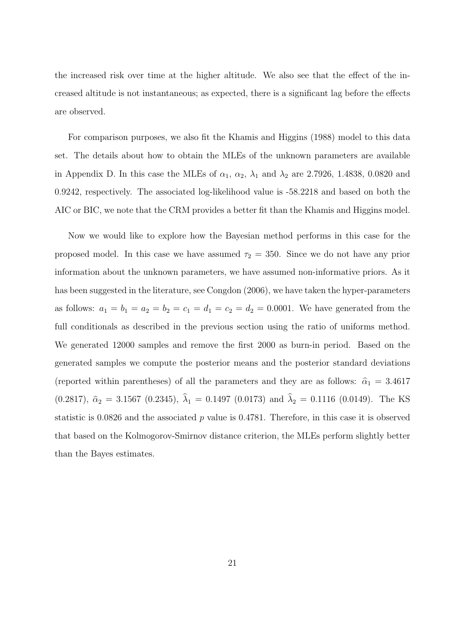the increased risk over time at the higher altitude. We also see that the effect of the increased altitude is not instantaneous; as expected, there is a significant lag before the effects are observed.

For comparison purposes, we also fit the Khamis and Higgins (1988) model to this data set. The details about how to obtain the MLEs of the unknown parameters are available in Appendix D. In this case the MLEs of  $\alpha_1$ ,  $\alpha_2$ ,  $\lambda_1$  and  $\lambda_2$  are 2.7926, 1.4838, 0.0820 and 0.9242, respectively. The associated log-likelihood value is -58.2218 and based on both the AIC or BIC, we note that the CRM provides a better fit than the Khamis and Higgins model.

Now we would like to explore how the Bayesian method performs in this case for the proposed model. In this case we have assumed  $\tau_2 = 350$ . Since we do not have any prior information about the unknown parameters, we have assumed non-informative priors. As it has been suggested in the literature, see Congdon (2006), we have taken the hyper-parameters as follows:  $a_1 = b_1 = a_2 = b_2 = c_1 = d_1 = c_2 = d_2 = 0.0001$ . We have generated from the full conditionals as described in the previous section using the ratio of uniforms method. We generated 12000 samples and remove the first 2000 as burn-in period. Based on the generated samples we compute the posterior means and the posterior standard deviations (reported within parentheses) of all the parameters and they are as follows:  $\hat{\alpha}_1 = 3.4617$ (0.2817),  $\hat{\alpha}_2 = 3.1567$  (0.2345),  $\hat{\lambda}_1 = 0.1497$  (0.0173) and  $\hat{\lambda}_2 = 0.1116$  (0.0149). The KS statistic is  $0.0826$  and the associated p value is  $0.4781$ . Therefore, in this case it is observed that based on the Kolmogorov-Smirnov distance criterion, the MLEs perform slightly better than the Bayes estimates.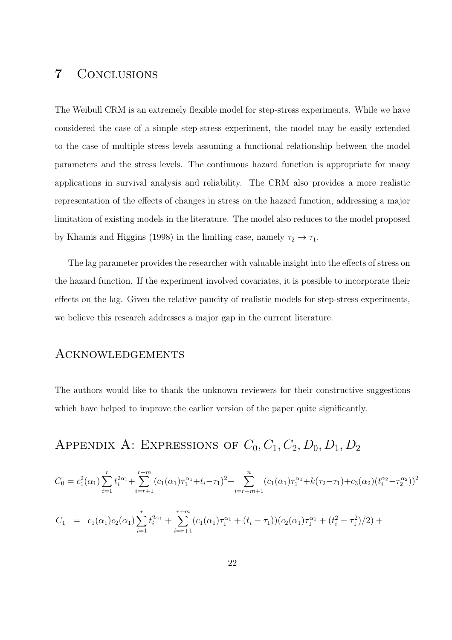## 7 Conclusions

The Weibull CRM is an extremely flexible model for step-stress experiments. While we have considered the case of a simple step-stress experiment, the model may be easily extended to the case of multiple stress levels assuming a functional relationship between the model parameters and the stress levels. The continuous hazard function is appropriate for many applications in survival analysis and reliability. The CRM also provides a more realistic representation of the effects of changes in stress on the hazard function, addressing a major limitation of existing models in the literature. The model also reduces to the model proposed by Khamis and Higgins (1998) in the limiting case, namely  $\tau_2 \to \tau_1$ .

The lag parameter provides the researcher with valuable insight into the effects of stress on the hazard function. If the experiment involved covariates, it is possible to incorporate their effects on the lag. Given the relative paucity of realistic models for step-stress experiments, we believe this research addresses a major gap in the current literature.

### Acknowledgements

The authors would like to thank the unknown reviewers for their constructive suggestions which have helped to improve the earlier version of the paper quite significantly.

# APPENDIX A: EXPRESSIONS OF  $C_0$ ,  $C_1$ ,  $C_2$ ,  $D_0$ ,  $D_1$ ,  $D_2$

$$
C_0 = c_1^2(\alpha_1) \sum_{i=1}^r t_i^{2\alpha_1} + \sum_{i=r+1}^{r+m} (c_1(\alpha_1)\tau_1^{\alpha_1} + t_i - \tau_1)^2 + \sum_{i=r+m+1}^n (c_1(\alpha_1)\tau_1^{\alpha_1} + k(\tau_2 - \tau_1) + c_3(\alpha_2)(t_i^{\alpha_2} - \tau_2^{\alpha_2}))^2
$$
  

$$
C_1 = c_1(\alpha_1)c_2(\alpha_1) \sum_{i=1}^r t_i^{2\alpha_1} + \sum_{i=r+1}^{r+m} (c_1(\alpha_1)\tau_1^{\alpha_1} + (t_i - \tau_1))(c_2(\alpha_1)\tau_1^{\alpha_1} + (t_i^2 - \tau_1^2)/2) +
$$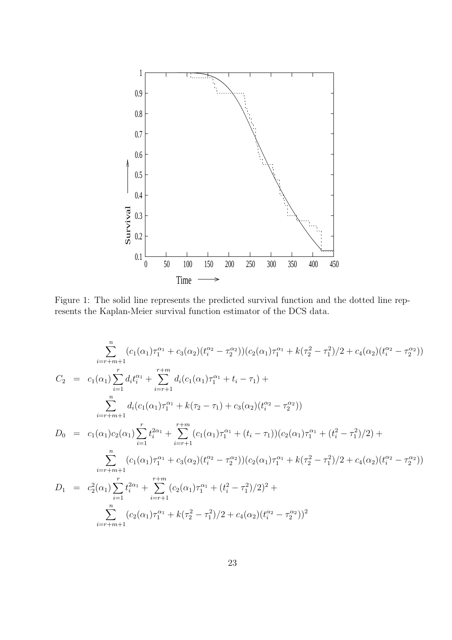

Figure 1: The solid line represents the predicted survival function and the dotted line represents the Kaplan-Meier survival function estimator of the DCS data.

$$
\sum_{i=r+m+1}^{n} (c_1(\alpha_1)\tau_1^{\alpha_1} + c_3(\alpha_2)(t_i^{\alpha_2} - \tau_2^{\alpha_2})) (c_2(\alpha_1)\tau_1^{\alpha_1} + k(\tau_2^2 - \tau_1^2)/2 + c_4(\alpha_2)(t_i^{\alpha_2} - \tau_2^{\alpha_2}))
$$
  
\n
$$
C_2 = c_1(\alpha_1) \sum_{i=1}^{r} d_i t_i^{\alpha_1} + \sum_{i=r+1}^{r+m} d_i (c_1(\alpha_1)\tau_1^{\alpha_1} + t_i - \tau_1) +
$$
  
\n
$$
\sum_{i=r+m+1}^{n} d_i (c_1(\alpha_1)\tau_1^{\alpha_1} + k(\tau_2 - \tau_1) + c_3(\alpha_2)(t_i^{\alpha_2} - \tau_2^{\alpha_2}))
$$
  
\n
$$
D_0 = c_1(\alpha_1)c_2(\alpha_1) \sum_{i=1}^{r} t_i^{2\alpha_1} + \sum_{i=r+1}^{r+m} (c_1(\alpha_1)\tau_1^{\alpha_1} + (t_i - \tau_1))(c_2(\alpha_1)\tau_1^{\alpha_1} + (t_i^2 - \tau_1^2)/2) +
$$
  
\n
$$
\sum_{i=r+m+1}^{n} (c_1(\alpha_1)\tau_1^{\alpha_1} + c_3(\alpha_2)(t_i^{\alpha_2} - \tau_2^{\alpha_2})) (c_2(\alpha_1)\tau_1^{\alpha_1} + k(\tau_2^2 - \tau_1^2)/2 + c_4(\alpha_2)(t_i^{\alpha_2} - \tau_2^{\alpha_2}))
$$
  
\n
$$
D_1 = c_2^2(\alpha_1) \sum_{i=1}^{r} t_i^{2\alpha_1} + \sum_{i=r+1}^{r+m} (c_2(\alpha_1)\tau_1^{\alpha_1} + (t_i^2 - \tau_1^2)/2)^2 +
$$
  
\n
$$
\sum_{i=r+m+1}^{n} (c_2(\alpha_1)\tau_1^{\alpha_1} + k(\tau_2^2 - \tau_1^2)/2 + c_4(\alpha_2)(t_i^{\alpha_2} - \tau_2^{\alpha_2}))^2
$$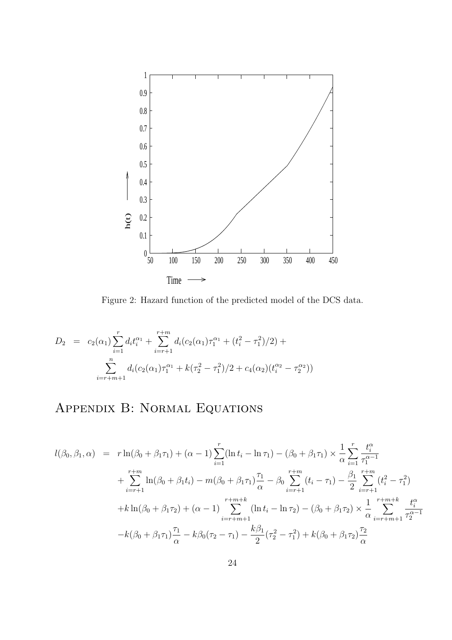

Figure 2: Hazard function of the predicted model of the DCS data.

$$
D_2 = c_2(\alpha_1) \sum_{i=1}^r d_i t_i^{\alpha_1} + \sum_{i=r+1}^{r+m} d_i (c_2(\alpha_1) \tau_1^{\alpha_1} + (t_i^2 - \tau_1^2)/2) + \sum_{i=r+m+1}^n d_i (c_2(\alpha_1) \tau_1^{\alpha_1} + k(\tau_2^2 - \tau_1^2)/2 + c_4(\alpha_2) (t_i^{\alpha_2} - \tau_2^{\alpha_2}))
$$

# Appendix B: Normal Equations

$$
l(\beta_0, \beta_1, \alpha) = r \ln(\beta_0 + \beta_1 \tau_1) + (\alpha - 1) \sum_{i=1}^r (\ln t_i - \ln \tau_1) - (\beta_0 + \beta_1 \tau_1) \times \frac{1}{\alpha} \sum_{i=1}^r \frac{t_i^{\alpha}}{\tau_1^{\alpha - 1}}
$$
  
+ 
$$
\sum_{i=r+1}^{r+m} \ln(\beta_0 + \beta_1 t_i) - m(\beta_0 + \beta_1 \tau_1) \frac{\tau_1}{\alpha} - \beta_0 \sum_{i=r+1}^{r+m} (t_i - \tau_1) - \frac{\beta_1}{2} \sum_{i=r+1}^{r+m} (t_i^2 - \tau_1^2)
$$
  
+ 
$$
k \ln(\beta_0 + \beta_1 \tau_2) + (\alpha - 1) \sum_{i=r+m+1}^{r+m+k} (\ln t_i - \ln \tau_2) - (\beta_0 + \beta_1 \tau_2) \times \frac{1}{\alpha} \sum_{i=r+m+1}^{r+m+k} \frac{t_i^{\alpha}}{\tau_2^{\alpha - 1}}
$$
  
- 
$$
k(\beta_0 + \beta_1 \tau_1) \frac{\tau_1}{\alpha} - k\beta_0 (\tau_2 - \tau_1) - \frac{k\beta_1}{2} (\tau_2^2 - \tau_1^2) + k(\beta_0 + \beta_1 \tau_2) \frac{\tau_2}{\alpha}
$$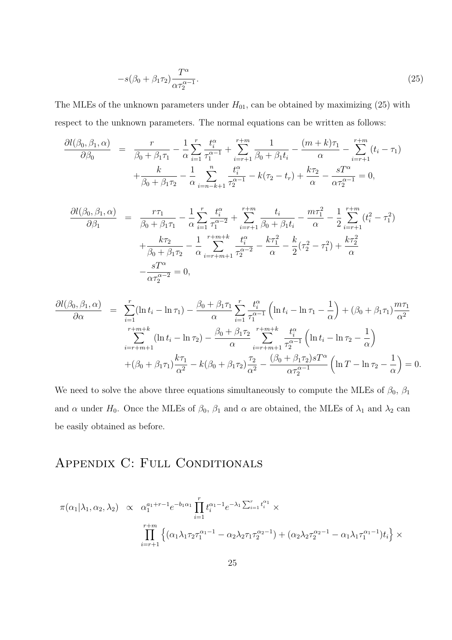$$
-s(\beta_0 + \beta_1 \tau_2) \frac{T^{\alpha}}{\alpha \tau_2^{\alpha - 1}}.
$$
\n(25)

The MLEs of the unknown parameters under  $H_{01}$ , can be obtained by maximizing (25) with respect to the unknown parameters. The normal equations can be written as follows:

$$
\frac{\partial l(\beta_0, \beta_1, \alpha)}{\partial \beta_0} = \frac{r}{\beta_0 + \beta_1 \tau_1} - \frac{1}{\alpha} \sum_{i=1}^r \frac{t_i^{\alpha}}{\tau_1^{\alpha-1}} + \sum_{i=r+1}^{r+m} \frac{1}{\beta_0 + \beta_1 t_i} - \frac{(m+k)\tau_1}{\alpha} - \sum_{i=r+1}^{r+m} (t_i - \tau_1) + \frac{k}{\beta_0 + \beta_1 \tau_2} - \frac{1}{\alpha} \sum_{i=n-k+1}^n \frac{t_i^{\alpha}}{\tau_2^{\alpha-1}} - k(\tau_2 - t_r) + \frac{k\tau_2}{\alpha} - \frac{sT^{\alpha}}{\alpha \tau_2^{\alpha-1}} = 0,
$$

$$
\frac{\partial l(\beta_0, \beta_1, \alpha)}{\partial \beta_1} = \frac{r\tau_1}{\beta_0 + \beta_1 \tau_1} - \frac{1}{\alpha} \sum_{i=1}^r \frac{t_i^{\alpha}}{\tau_1^{\alpha-2}} + \sum_{i=r+1}^{r+m} \frac{t_i}{\beta_0 + \beta_1 t_i} - \frac{m\tau_1^2}{\alpha} - \frac{1}{2} \sum_{i=r+1}^{r+m} (t_i^2 - \tau_1^2) + \frac{k\tau_2}{\beta_0 + \beta_1 \tau_2} - \frac{1}{\alpha} \sum_{i=r+m+1}^{r+m+k} \frac{t_i^{\alpha}}{\tau_2^{\alpha-2}} - \frac{k\tau_1^2}{\alpha} - \frac{k}{2} (\tau_2^2 - \tau_1^2) + \frac{k\tau_2^2}{\alpha} - \frac{sT^{\alpha}}{\alpha \tau_2^{\alpha-2}} = 0,
$$

$$
\frac{\partial l(\beta_0, \beta_1, \alpha)}{\partial \alpha} = \sum_{i=1}^r (\ln t_i - \ln \tau_1) - \frac{\beta_0 + \beta_1 \tau_1}{\alpha} \sum_{i=1}^r \frac{t_i^{\alpha}}{\tau_1^{\alpha-1}} \left( \ln t_i - \ln \tau_1 - \frac{1}{\alpha} \right) + (\beta_0 + \beta_1 \tau_1) \frac{m \tau_1}{\alpha^2} \n\sum_{i=r+m+1}^{r+m+k} (\ln t_i - \ln \tau_2) - \frac{\beta_0 + \beta_1 \tau_2}{\alpha} \sum_{i=r+m+1}^{r+m+k} \frac{t_i^{\alpha}}{\tau_2^{\alpha-1}} \left( \ln t_i - \ln \tau_2 - \frac{1}{\alpha} \right) \n+ (\beta_0 + \beta_1 \tau_1) \frac{k \tau_1}{\alpha^2} - k(\beta_0 + \beta_1 \tau_2) \frac{\tau_2}{\alpha^2} - \frac{(\beta_0 + \beta_1 \tau_2) s T^{\alpha}}{\alpha \tau_2^{\alpha-1}} \left( \ln T - \ln \tau_2 - \frac{1}{\alpha} \right) = 0.
$$

We need to solve the above three equations simultaneously to compute the MLEs of  $\beta_0$ ,  $\beta_1$ and  $\alpha$  under  $H_0$ . Once the MLEs of  $\beta_0$ ,  $\beta_1$  and  $\alpha$  are obtained, the MLEs of  $\lambda_1$  and  $\lambda_2$  can be easily obtained as before.

## APPENDIX C: FULL CONDITIONALS

$$
\pi(\alpha_1|\lambda_1, \alpha_2, \lambda_2) \propto \alpha_1^{a_1+r-1} e^{-b_1 \alpha_1} \prod_{i=1}^r t_i^{\alpha_1-1} e^{-\lambda_1 \sum_{i=1}^r t_i^{\alpha_1}} \times \prod_{i=r+1}^{r+m} \left\{ (\alpha_1 \lambda_1 \tau_2 \tau_1^{\alpha_1-1} - \alpha_2 \lambda_2 \tau_1 \tau_2^{\alpha_2-1}) + (\alpha_2 \lambda_2 \tau_2^{\alpha_2-1} - \alpha_1 \lambda_1 \tau_1^{\alpha_1-1}) t_i \right\} \times
$$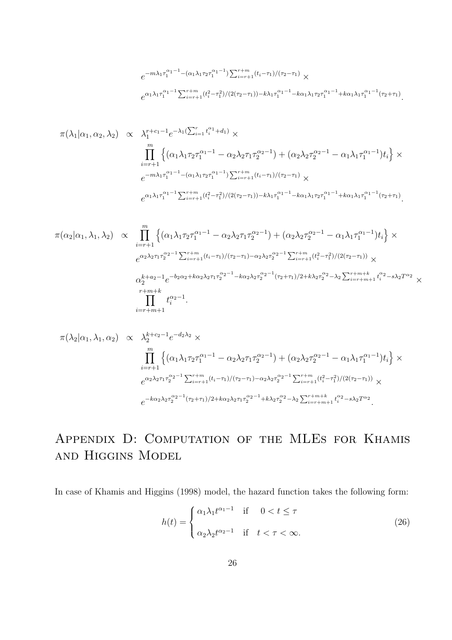$$
e^{-m\lambda_1 \tau_1^{\alpha_1-1} - (\alpha_1\lambda_1\tau_2\tau_1^{\alpha_1-1})\sum_{i=r+1}^{r+m} (t_i-\tau_1)/(\tau_2-\tau_1)} \times
$$
  

$$
e^{\alpha_1\lambda_1\tau_1^{\alpha_1-1}\sum_{i=r+1}^{r+m} (t_i^2-\tau_1^2)/(2(\tau_2-\tau_1)) - k\lambda_1\tau_1^{\alpha_1-1} - k\alpha_1\lambda_1\tau_2\tau_1^{\alpha_1-1} + k\alpha_1\lambda_1\tau_1^{\alpha_1-1}(\tau_2+\tau_1)}.
$$

$$
\pi(\lambda_1|\alpha_1, \alpha_2, \lambda_2) \propto \lambda_1^{r+c_1-1} e^{-\lambda_1 (\sum_{i=1}^r t_i^{\alpha_1} + d_1)} \times \prod_{i=r+1}^m \left\{ (\alpha_1 \lambda_1 \tau_2 \tau_1^{\alpha_1-1} - \alpha_2 \lambda_2 \tau_1 \tau_2^{\alpha_2-1}) + (\alpha_2 \lambda_2 \tau_2^{\alpha_2-1} - \alpha_1 \lambda_1 \tau_1^{\alpha_1-1}) t_i \right\} \times
$$
  
\n
$$
e^{-m\lambda_1 \tau_1^{\alpha_1-1} - (\alpha_1 \lambda_1 \tau_2 \tau_1^{\alpha_1-1}) \sum_{i=r+1}^{r+m} (t_i - \tau_1) / (\tau_2 - \tau_1)} \times
$$
  
\n
$$
e^{\alpha_1 \lambda_1 \tau_1^{\alpha_1-1} \sum_{i=r+1}^{r+m} (t_i^2 - \tau_1^2) / (2(\tau_2 - \tau_1)) - k\lambda_1 \tau_1^{\alpha_1-1} - k\alpha_1 \lambda_1 \tau_2 \tau_1^{\alpha_1-1} + k\alpha_1 \lambda_1 \tau_1^{\alpha_1-1} (\tau_2 + \tau_1)}.
$$

$$
\pi(\alpha_2|\alpha_1, \lambda_1, \lambda_2) \propto \prod_{i=r+1}^m \left\{ (\alpha_1 \lambda_1 \tau_2 \tau_1^{\alpha_1-1} - \alpha_2 \lambda_2 \tau_1 \tau_2^{\alpha_2-1}) + (\alpha_2 \lambda_2 \tau_2^{\alpha_2-1} - \alpha_1 \lambda_1 \tau_1^{\alpha_1-1}) t_i \right\} \times \ne^{\alpha_2 \lambda_2 \tau_1 \tau_2^{\alpha_2-1} \sum_{i=r+1}^{r+m} (t_i - \tau_1) / (\tau_2 - \tau_1) - \alpha_2 \lambda_2 \tau_2^{\alpha_2-1} \sum_{i=r+1}^{r+m} (t_i^2 - \tau_1^2) / (2(\tau_2 - \tau_1))} \times \n\alpha_2^{k+a_2-1} e^{-b_2 \alpha_2 + k \alpha_2 \lambda_2 \tau_1 \tau_2^{\alpha_2-1} - k \alpha_2 \lambda_2 \tau_2^{\alpha_2-1} (\tau_2 + \tau_1) / 2 + k \lambda_2 \tau_2^{\alpha_2} - \lambda_2 \sum_{i=r+m+1}^{r+m+k} t_i^{\alpha_2} - s \lambda_2 T^{\alpha_2} \times \n\prod_{i=r+m+1}^{r+m+k} t_i^{\alpha_2-1}.
$$

$$
\pi(\lambda_2|\alpha_1, \lambda_1, \alpha_2) \propto \lambda_2^{k+c_2-1} e^{-d_2 \lambda_2} \times
$$
\n
$$
\prod_{i=r+1}^m \left\{ (\alpha_1 \lambda_1 \tau_2 \tau_1^{\alpha_1-1} - \alpha_2 \lambda_2 \tau_1 \tau_2^{\alpha_2-1}) + (\alpha_2 \lambda_2 \tau_2^{\alpha_2-1} - \alpha_1 \lambda_1 \tau_1^{\alpha_1-1}) t_i \right\} \times
$$
\n
$$
e^{\alpha_2 \lambda_2 \tau_1 \tau_2^{\alpha_2-1} \sum_{i=r+1}^{r+m} (t_i - \tau_1) / (\tau_2 - \tau_1) - \alpha_2 \lambda_2 \tau_2^{\alpha_2-1} \sum_{i=r+1}^{r+m} (t_i^2 - \tau_1^2) / (2(\tau_2 - \tau_1))} \times
$$
\n
$$
e^{-k \alpha_2 \lambda_2 \tau_2^{\alpha_2-1} (\tau_2 + \tau_1) / 2 + k \alpha_2 \lambda_2 \tau_1 \tau_2^{\alpha_2-1} + k \lambda_2 \tau_2^{\alpha_2} - \lambda_2 \sum_{i=r+m+1}^{r+m+k} t_i^{\alpha_2} - s \lambda_2 T^{\alpha_2}}.
$$

# Appendix D: Computation of the MLEs for Khamis and Higgins Model

In case of Khamis and Higgins (1998) model, the hazard function takes the following form:

$$
h(t) = \begin{cases} \alpha_1 \lambda_1 t^{\alpha_1 - 1} & \text{if } 0 < t \le \tau \\ \alpha_2 \lambda_2 t^{\alpha_2 - 1} & \text{if } t < \tau < \infty. \end{cases} \tag{26}
$$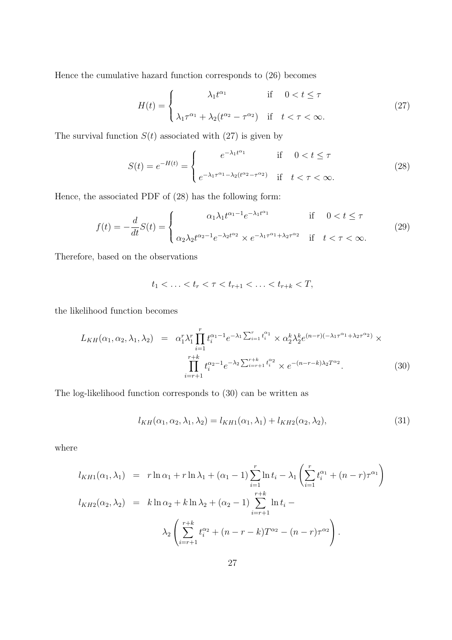Hence the cumulative hazard function corresponds to (26) becomes

$$
H(t) = \begin{cases} \lambda_1 t^{\alpha_1} & \text{if } 0 < t \le \tau \\ \lambda_1 \tau^{\alpha_1} + \lambda_2 (t^{\alpha_2} - \tau^{\alpha_2}) & \text{if } t < \tau < \infty. \end{cases} \tag{27}
$$

The survival function  $S(t)$  associated with (27) is given by

$$
S(t) = e^{-H(t)} = \begin{cases} e^{-\lambda_1 t^{\alpha_1}} & \text{if } 0 < t \le \tau \\ e^{-\lambda_1 \tau^{\alpha_1} - \lambda_2 (t^{\alpha_2} - \tau^{\alpha_2})} & \text{if } t < \tau < \infty. \end{cases} \tag{28}
$$

Hence, the associated PDF of (28) has the following form:

$$
f(t) = -\frac{d}{dt}S(t) = \begin{cases} \alpha_1 \lambda_1 t^{\alpha_1 - 1} e^{-\lambda_1 t^{\alpha_1}} & \text{if } 0 < t \le \tau \\ \alpha_2 \lambda_2 t^{\alpha_2 - 1} e^{-\lambda_2 t^{\alpha_2}} \times e^{-\lambda_1 \tau^{\alpha_1} + \lambda_2 \tau^{\alpha_2}} & \text{if } t < \tau < \infty. \end{cases} \tag{29}
$$

Therefore, based on the observations

$$
t_1 < \ldots < t_r < \tau < t_{r+1} < \ldots < t_{r+k} < T,
$$

the likelihood function becomes

$$
L_{KH}(\alpha_1, \alpha_2, \lambda_1, \lambda_2) = \alpha_1^r \lambda_1^r \prod_{i=1}^r t_i^{\alpha_1 - 1} e^{-\lambda_1 \sum_{i=1}^r t_i^{\alpha_1}} \times \alpha_2^k \lambda_2^k e^{(n-r)(-\lambda_1 \tau^{\alpha_1} + \lambda_2 \tau^{\alpha_2})} \times \prod_{i=r+1}^{r+k} t_i^{\alpha_2 - 1} e^{-\lambda_2 \sum_{i=r+1}^{r+k} t_i^{\alpha_2}} \times e^{-(n-r-k)\lambda_2 T^{\alpha_2}}.
$$
 (30)

The log-likelihood function corresponds to (30) can be written as

$$
l_{KH}(\alpha_1, \alpha_2, \lambda_1, \lambda_2) = l_{KH1}(\alpha_1, \lambda_1) + l_{KH2}(\alpha_2, \lambda_2),
$$
\n(31)

where

$$
l_{KH1}(\alpha_1, \lambda_1) = r \ln \alpha_1 + r \ln \lambda_1 + (\alpha_1 - 1) \sum_{i=1}^r \ln t_i - \lambda_1 \left( \sum_{i=1}^r t_i^{\alpha_1} + (n - r) \tau^{\alpha_1} \right)
$$
  

$$
l_{KH2}(\alpha_2, \lambda_2) = k \ln \alpha_2 + k \ln \lambda_2 + (\alpha_2 - 1) \sum_{i=r+1}^{r+k} \ln t_i - \lambda_2 \left( \sum_{i=r+1}^{r+k} t_i^{\alpha_2} + (n - r - k) T^{\alpha_2} - (n - r) \tau^{\alpha_2} \right).
$$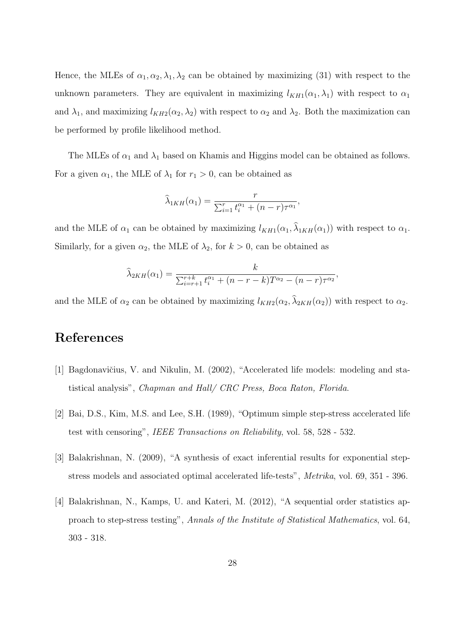Hence, the MLEs of  $\alpha_1, \alpha_2, \lambda_1, \lambda_2$  can be obtained by maximizing (31) with respect to the unknown parameters. They are equivalent in maximizing  $l_{KH1}(\alpha_1, \lambda_1)$  with respect to  $\alpha_1$ and  $\lambda_1$ , and maximizing  $l_{KH2}(\alpha_2, \lambda_2)$  with respect to  $\alpha_2$  and  $\lambda_2$ . Both the maximization can be performed by profile likelihood method.

The MLEs of  $\alpha_1$  and  $\lambda_1$  based on Khamis and Higgins model can be obtained as follows. For a given  $\alpha_1$ , the MLE of  $\lambda_1$  for  $r_1 > 0$ , can be obtained as

$$
\widehat{\lambda}_{1KH}(\alpha_1) = \frac{r}{\sum_{i=1}^r t_i^{\alpha_1} + (n-r)\tau^{\alpha_1}},
$$

and the MLE of  $\alpha_1$  can be obtained by maximizing  $l_{KH1}(\alpha_1, \lambda_{1KH}(\alpha_1))$  with respect to  $\alpha_1$ . Similarly, for a given  $\alpha_2$ , the MLE of  $\lambda_2$ , for  $k > 0$ , can be obtained as

$$
\widehat{\lambda}_{2KH}(\alpha_1) = \frac{k}{\sum_{i=r+1}^{r+k} t_i^{\alpha_1} + (n-r-k)T^{\alpha_2} - (n-r)\tau^{\alpha_2}},
$$

and the MLE of  $\alpha_2$  can be obtained by maximizing  $l_{KH2}(\alpha_2, \lambda_{2KH}(\alpha_2))$  with respect to  $\alpha_2$ .

## References

- [1] Bagdonavičius, V. and Nikulin, M. (2002), "Accelerated life models: modeling and statistical analysis", Chapman and Hall/ CRC Press, Boca Raton, Florida.
- [2] Bai, D.S., Kim, M.S. and Lee, S.H. (1989), "Optimum simple step-stress accelerated life test with censoring", IEEE Transactions on Reliability, vol. 58, 528 - 532.
- [3] Balakrishnan, N. (2009), "A synthesis of exact inferential results for exponential stepstress models and associated optimal accelerated life-tests", Metrika, vol. 69, 351 - 396.
- [4] Balakrishnan, N., Kamps, U. and Kateri, M. (2012), "A sequential order statistics approach to step-stress testing", Annals of the Institute of Statistical Mathematics, vol. 64, 303 - 318.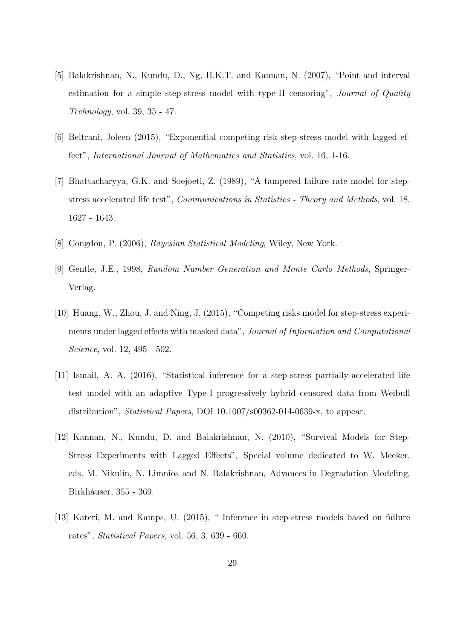- [5] Balakrishnan, N., Kundu, D., Ng, H.K.T. and Kannan, N. (2007), "Point and interval estimation for a simple step-stress model with type-II censoring", *Journal of Quality* Technology, vol. 39, 35 - 47.
- [6] Beltrani, Joleen (2015), "Exponential competing risk step-stress model with lagged effect", International Journal of Mathematics and Statistics, vol. 16, 1-16.
- [7] Bhattacharyya, G.K. and Soejoeti, Z. (1989), "A tampered failure rate model for stepstress accelerated life test", Communications in Statistics - Theory and Methods, vol. 18, 1627 - 1643.
- [8] Congdon, P. (2006), Bayesian Statistical Modeling, Wiley, New York.
- [9] Gentle, J.E., 1998, Random Number Generation and Monte Carlo Methods, Springer-Verlag.
- [10] Huang, W., Zhou, J. and Ning, J. (2015), "Competing risks model for step-stress experiments under lagged effects with masked data", Journal of Information and Computational Science, vol. 12, 495 - 502.
- [11] Ismail, A. A. (2016), "Statistical inference for a step-stress partially-accelerated life test model with an adaptive Type-I progressively hybrid censored data from Weibull distribution", *Statistical Papers*, DOI 10.1007/s00362-014-0639-x, to appear.
- [12] Kannan, N., Kundu, D. and Balakrishnan, N. (2010), "Survival Models for Step-Stress Experiments with Lagged Effects", Special volume dedicated to W. Meeker, eds. M. Nikulin, N. Limnios and N. Balakrishnan, Advances in Degradation Modeling, Birkhåuser, 355 - 369.
- [13] Kateri, M. and Kamps, U. (2015), " Inference in step-stress models based on failure rates", Statistical Papers, vol. 56, 3, 639 - 660.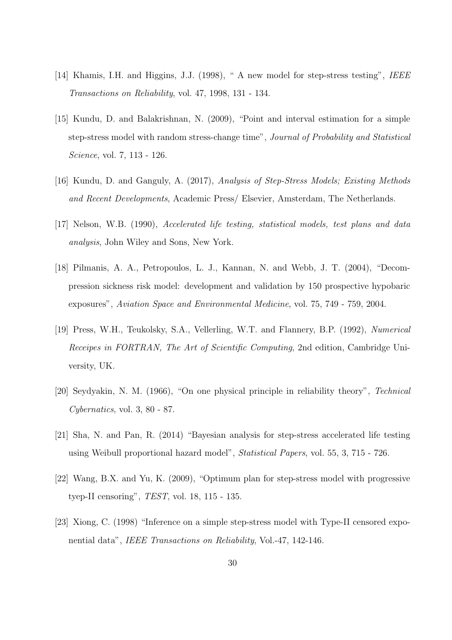- [14] Khamis, I.H. and Higgins, J.J. (1998), " A new model for step-stress testing", IEEE Transactions on Reliability, vol. 47, 1998, 131 - 134.
- [15] Kundu, D. and Balakrishnan, N. (2009), "Point and interval estimation for a simple step-stress model with random stress-change time", Journal of Probability and Statistical Science, vol. 7, 113 - 126.
- [16] Kundu, D. and Ganguly, A. (2017), Analysis of Step-Stress Models; Existing Methods and Recent Developments, Academic Press/ Elsevier, Amsterdam, The Netherlands.
- [17] Nelson, W.B. (1990), Accelerated life testing, statistical models, test plans and data analysis, John Wiley and Sons, New York.
- [18] Pilmanis, A. A., Petropoulos, L. J., Kannan, N. and Webb, J. T. (2004), "Decompression sickness risk model: development and validation by 150 prospective hypobaric exposures", Aviation Space and Environmental Medicine, vol. 75, 749 - 759, 2004.
- [19] Press, W.H., Teukolsky, S.A., Vellerling, W.T. and Flannery, B.P. (1992), Numerical Receipes in FORTRAN, The Art of Scientific Computing, 2nd edition, Cambridge University, UK.
- [20] Seydyakin, N. M. (1966), "On one physical principle in reliability theory", Technical  $Cybernatics, vol. 3, 80 - 87.$
- [21] Sha, N. and Pan, R. (2014) "Bayesian analysis for step-stress accelerated life testing using Weibull proportional hazard model", Statistical Papers, vol. 55, 3, 715 - 726.
- [22] Wang, B.X. and Yu, K. (2009), "Optimum plan for step-stress model with progressive tyep-II censoring", TEST, vol. 18, 115 - 135.
- [23] Xiong, C. (1998) "Inference on a simple step-stress model with Type-II censored exponential data", IEEE Transactions on Reliability, Vol.-47, 142-146.